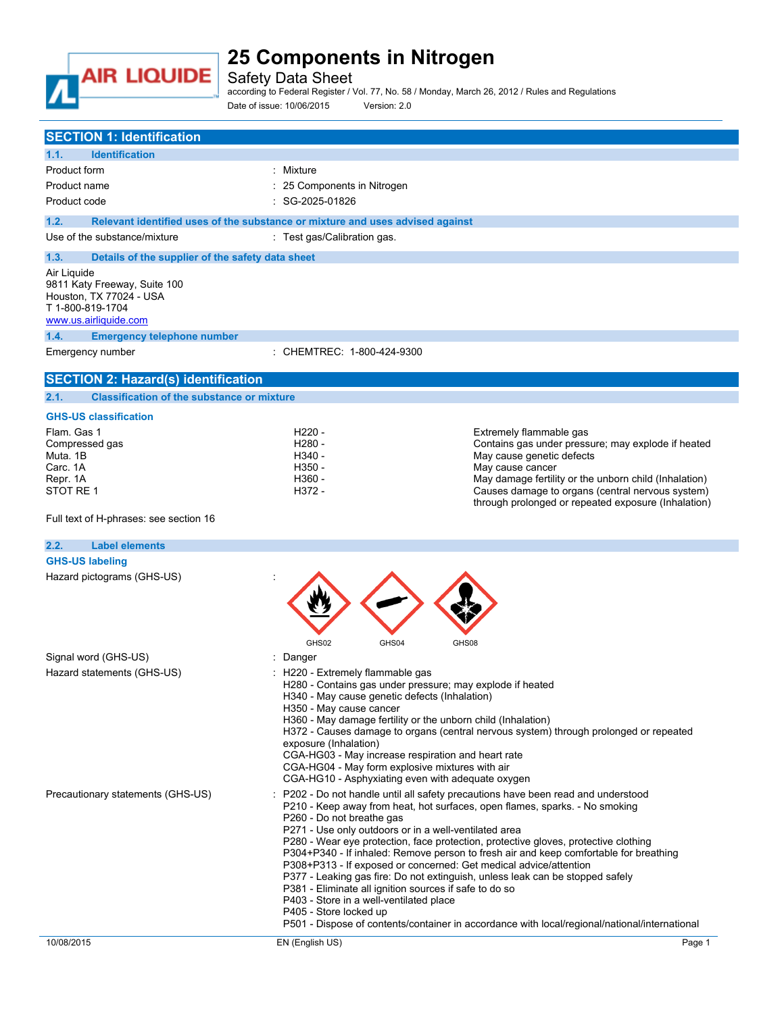

Safety Data Sheet

according to Federal Register / Vol. 77, No. 58 / Monday, March 26, 2012 / Rules and Regulations Date of issue: 10/06/2015 Version: 2.0

| <b>SECTION 1: Identification</b>                                                                                                                                 |                                                                                                                                                                                                                                                                                                                                                                                                                                                                                                                                                                                                                                  |                                                                                                                                                                                        |
|------------------------------------------------------------------------------------------------------------------------------------------------------------------|----------------------------------------------------------------------------------------------------------------------------------------------------------------------------------------------------------------------------------------------------------------------------------------------------------------------------------------------------------------------------------------------------------------------------------------------------------------------------------------------------------------------------------------------------------------------------------------------------------------------------------|----------------------------------------------------------------------------------------------------------------------------------------------------------------------------------------|
| 1.1.<br><b>Identification</b>                                                                                                                                    |                                                                                                                                                                                                                                                                                                                                                                                                                                                                                                                                                                                                                                  |                                                                                                                                                                                        |
| Product form                                                                                                                                                     | : Mixture                                                                                                                                                                                                                                                                                                                                                                                                                                                                                                                                                                                                                        |                                                                                                                                                                                        |
| Product name                                                                                                                                                     | : 25 Components in Nitrogen                                                                                                                                                                                                                                                                                                                                                                                                                                                                                                                                                                                                      |                                                                                                                                                                                        |
| Product code                                                                                                                                                     | : SG-2025-01826                                                                                                                                                                                                                                                                                                                                                                                                                                                                                                                                                                                                                  |                                                                                                                                                                                        |
| 1.2.                                                                                                                                                             | Relevant identified uses of the substance or mixture and uses advised against                                                                                                                                                                                                                                                                                                                                                                                                                                                                                                                                                    |                                                                                                                                                                                        |
| Use of the substance/mixture                                                                                                                                     | : Test gas/Calibration gas.                                                                                                                                                                                                                                                                                                                                                                                                                                                                                                                                                                                                      |                                                                                                                                                                                        |
|                                                                                                                                                                  |                                                                                                                                                                                                                                                                                                                                                                                                                                                                                                                                                                                                                                  |                                                                                                                                                                                        |
| 1.3.<br>Details of the supplier of the safety data sheet                                                                                                         |                                                                                                                                                                                                                                                                                                                                                                                                                                                                                                                                                                                                                                  |                                                                                                                                                                                        |
| Air Liquide<br>9811 Katy Freeway, Suite 100<br>Houston, TX 77024 - USA<br>T 1-800-819-1704<br>www.us.airliquide.com<br>1.4.<br><b>Emergency telephone number</b> |                                                                                                                                                                                                                                                                                                                                                                                                                                                                                                                                                                                                                                  |                                                                                                                                                                                        |
| Emergency number                                                                                                                                                 | : CHEMTREC: 1-800-424-9300                                                                                                                                                                                                                                                                                                                                                                                                                                                                                                                                                                                                       |                                                                                                                                                                                        |
| <b>SECTION 2: Hazard(s) identification</b>                                                                                                                       |                                                                                                                                                                                                                                                                                                                                                                                                                                                                                                                                                                                                                                  |                                                                                                                                                                                        |
| <b>Classification of the substance or mixture</b><br>2.1.                                                                                                        |                                                                                                                                                                                                                                                                                                                                                                                                                                                                                                                                                                                                                                  |                                                                                                                                                                                        |
|                                                                                                                                                                  |                                                                                                                                                                                                                                                                                                                                                                                                                                                                                                                                                                                                                                  |                                                                                                                                                                                        |
| <b>GHS-US classification</b>                                                                                                                                     |                                                                                                                                                                                                                                                                                                                                                                                                                                                                                                                                                                                                                                  |                                                                                                                                                                                        |
| Flam, Gas 1<br>Compressed gas                                                                                                                                    | H <sub>220</sub> -<br>H <sub>280</sub> -                                                                                                                                                                                                                                                                                                                                                                                                                                                                                                                                                                                         | Extremely flammable gas<br>Contains gas under pressure; may explode if heated                                                                                                          |
| Muta, 1B                                                                                                                                                         | H340 -                                                                                                                                                                                                                                                                                                                                                                                                                                                                                                                                                                                                                           | May cause genetic defects                                                                                                                                                              |
| Carc. 1A                                                                                                                                                         | H350 -                                                                                                                                                                                                                                                                                                                                                                                                                                                                                                                                                                                                                           | May cause cancer                                                                                                                                                                       |
| Repr. 1A<br>STOT RE 1                                                                                                                                            | H360 -<br>H372 -                                                                                                                                                                                                                                                                                                                                                                                                                                                                                                                                                                                                                 | May damage fertility or the unborn child (Inhalation)                                                                                                                                  |
|                                                                                                                                                                  |                                                                                                                                                                                                                                                                                                                                                                                                                                                                                                                                                                                                                                  | Causes damage to organs (central nervous system)<br>through prolonged or repeated exposure (Inhalation)                                                                                |
| Full text of H-phrases: see section 16                                                                                                                           |                                                                                                                                                                                                                                                                                                                                                                                                                                                                                                                                                                                                                                  |                                                                                                                                                                                        |
| 2.2.<br><b>Label elements</b>                                                                                                                                    |                                                                                                                                                                                                                                                                                                                                                                                                                                                                                                                                                                                                                                  |                                                                                                                                                                                        |
| <b>GHS-US labeling</b>                                                                                                                                           |                                                                                                                                                                                                                                                                                                                                                                                                                                                                                                                                                                                                                                  |                                                                                                                                                                                        |
| Hazard pictograms (GHS-US)                                                                                                                                       | GHS02<br>GHS04<br>GHS08                                                                                                                                                                                                                                                                                                                                                                                                                                                                                                                                                                                                          |                                                                                                                                                                                        |
| Signal word (GHS-US)                                                                                                                                             | : Danger                                                                                                                                                                                                                                                                                                                                                                                                                                                                                                                                                                                                                         |                                                                                                                                                                                        |
| Hazard statements (GHS-US)                                                                                                                                       | H220 - Extremely flammable gas<br>H280 - Contains gas under pressure; may explode if heated<br>H340 - May cause genetic defects (Inhalation)<br>H350 - May cause cancer<br>H360 - May damage fertility or the unborn child (Inhalation)<br>exposure (Inhalation)<br>CGA-HG03 - May increase respiration and heart rate<br>CGA-HG04 - May form explosive mixtures with air<br>CGA-HG10 - Asphyxiating even with adequate oxygen                                                                                                                                                                                                   | H372 - Causes damage to organs (central nervous system) through prolonged or repeated                                                                                                  |
| Precautionary statements (GHS-US)                                                                                                                                | P202 - Do not handle until all safety precautions have been read and understood<br>P210 - Keep away from heat, hot surfaces, open flames, sparks. - No smoking<br>P260 - Do not breathe gas<br>P271 - Use only outdoors or in a well-ventilated area<br>P280 - Wear eye protection, face protection, protective gloves, protective clothing<br>P308+P313 - If exposed or concerned: Get medical advice/attention<br>P377 - Leaking gas fire: Do not extinguish, unless leak can be stopped safely<br>P381 - Eliminate all ignition sources if safe to do so<br>P403 - Store in a well-ventilated place<br>P405 - Store locked up | P304+P340 - If inhaled: Remove person to fresh air and keep comfortable for breathing<br>P501 - Dispose of contents/container in accordance with local/regional/national/international |
| 10/08/2015                                                                                                                                                       | EN (English US)                                                                                                                                                                                                                                                                                                                                                                                                                                                                                                                                                                                                                  | Page 1                                                                                                                                                                                 |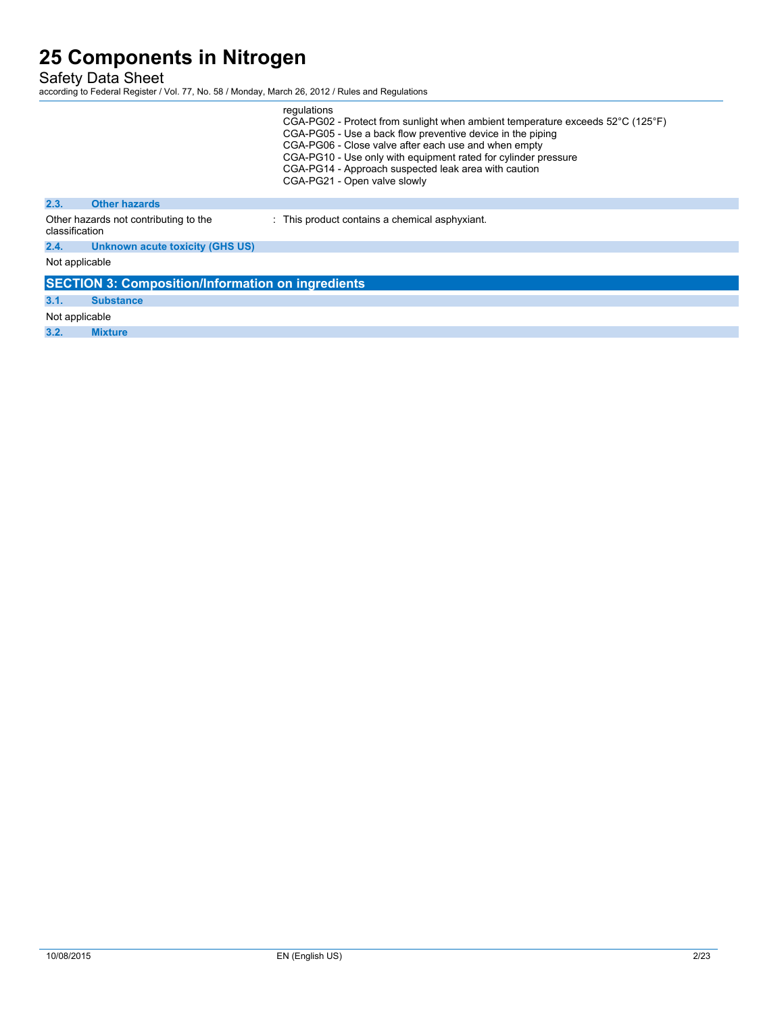Safety Data Sheet

|                |                                                          | regulations<br>CGA-PG02 - Protect from sunlight when ambient temperature exceeds 52°C (125°F)<br>CGA-PG05 - Use a back flow preventive device in the piping<br>CGA-PG06 - Close valve after each use and when empty<br>CGA-PG10 - Use only with equipment rated for cylinder pressure<br>CGA-PG14 - Approach suspected leak area with caution<br>CGA-PG21 - Open valve slowly |
|----------------|----------------------------------------------------------|-------------------------------------------------------------------------------------------------------------------------------------------------------------------------------------------------------------------------------------------------------------------------------------------------------------------------------------------------------------------------------|
| 2.3.           | <b>Other hazards</b>                                     |                                                                                                                                                                                                                                                                                                                                                                               |
| classification | Other hazards not contributing to the                    | : This product contains a chemical asphyxiant.                                                                                                                                                                                                                                                                                                                                |
| 2.4.           | Unknown acute toxicity (GHS US)                          |                                                                                                                                                                                                                                                                                                                                                                               |
| Not applicable |                                                          |                                                                                                                                                                                                                                                                                                                                                                               |
|                | <b>SECTION 3: Composition/Information on ingredients</b> |                                                                                                                                                                                                                                                                                                                                                                               |
| 3.1.           | <b>Substance</b>                                         |                                                                                                                                                                                                                                                                                                                                                                               |
| Not applicable |                                                          |                                                                                                                                                                                                                                                                                                                                                                               |
| 3.2.           | <b>Mixture</b>                                           |                                                                                                                                                                                                                                                                                                                                                                               |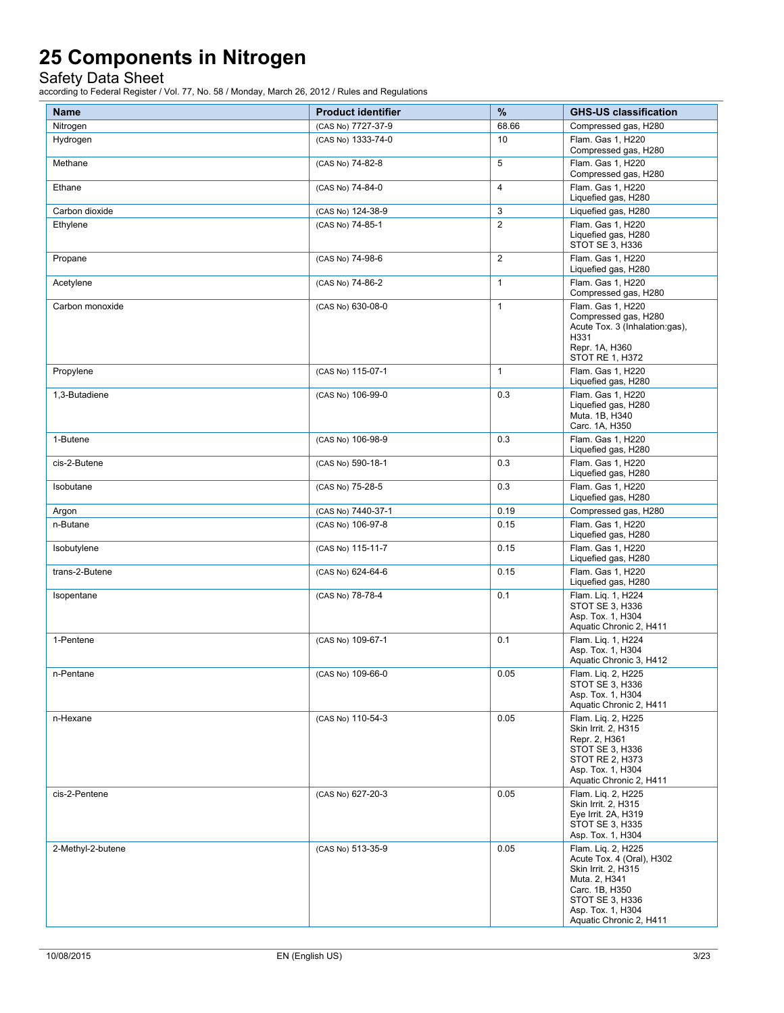Safety Data Sheet

| <b>Name</b>       | <b>Product identifier</b> | $\%$           | <b>GHS-US classification</b>                                                                                                                                                 |
|-------------------|---------------------------|----------------|------------------------------------------------------------------------------------------------------------------------------------------------------------------------------|
| Nitrogen          | (CAS No) 7727-37-9        | 68.66          | Compressed gas, H280                                                                                                                                                         |
| Hydrogen          | (CAS No) 1333-74-0        | 10             | Flam. Gas 1, H220<br>Compressed gas, H280                                                                                                                                    |
| Methane           | (CAS No) 74-82-8          | 5              | Flam. Gas 1, H220<br>Compressed gas, H280                                                                                                                                    |
| Ethane            | (CAS No) 74-84-0          | $\overline{4}$ | Flam. Gas 1, H220<br>Liquefied gas, H280                                                                                                                                     |
| Carbon dioxide    | (CAS No) 124-38-9         | 3              | Liquefied gas, H280                                                                                                                                                          |
| Ethylene          | (CAS No) 74-85-1          | $\overline{2}$ | Flam. Gas 1, H220<br>Liquefied gas, H280<br>STOT SE 3, H336                                                                                                                  |
| Propane           | (CAS No) 74-98-6          | $\mathbf{2}$   | Flam. Gas 1, H220<br>Liquefied gas, H280                                                                                                                                     |
| Acetylene         | (CAS No) 74-86-2          | $\mathbf{1}$   | Flam. Gas 1, H220<br>Compressed gas, H280                                                                                                                                    |
| Carbon monoxide   | (CAS No) 630-08-0         | $\mathbf{1}$   | Flam. Gas 1, H220<br>Compressed gas, H280<br>Acute Tox. 3 (Inhalation:gas),<br>H331<br>Repr. 1A, H360<br>STOT RE 1, H372                                                     |
| Propylene         | (CAS No) 115-07-1         | $\mathbf{1}$   | Flam. Gas 1. H220<br>Liquefied gas, H280                                                                                                                                     |
| 1,3-Butadiene     | (CAS No) 106-99-0         | 0.3            | Flam. Gas 1, H220<br>Liquefied gas, H280<br>Muta. 1B, H340<br>Carc. 1A, H350                                                                                                 |
| 1-Butene          | (CAS No) 106-98-9         | 0.3            | Flam. Gas 1, H220<br>Liquefied gas, H280                                                                                                                                     |
| cis-2-Butene      | (CAS No) 590-18-1         | 0.3            | Flam. Gas 1. H220<br>Liquefied gas, H280                                                                                                                                     |
| Isobutane         | (CAS No) 75-28-5          | 0.3            | Flam. Gas 1, H220<br>Liquefied gas, H280                                                                                                                                     |
| Argon             | (CAS No) 7440-37-1        | 0.19           | Compressed gas, H280                                                                                                                                                         |
| n-Butane          | (CAS No) 106-97-8         | 0.15           | Flam. Gas 1, H220<br>Liquefied gas, H280                                                                                                                                     |
| Isobutylene       | (CAS No) 115-11-7         | 0.15           | Flam. Gas 1, H220<br>Liquefied gas, H280                                                                                                                                     |
| trans-2-Butene    | (CAS No) 624-64-6         | 0.15           | Flam. Gas 1, H220<br>Liquefied gas, H280                                                                                                                                     |
| Isopentane        | (CAS No) 78-78-4          | 0.1            | Flam. Lig. 1, H224<br>STOT SE 3, H336<br>Asp. Tox. 1, H304<br>Aquatic Chronic 2, H411                                                                                        |
| 1-Pentene         | (CAS No) 109-67-1         | 0.1            | Flam. Lig. 1, H224<br>Asp. Tox. 1, H304<br>Aquatic Chronic 3, H412                                                                                                           |
| n-Pentane         | (CAS No) 109-66-0         | 0.05           | Flam. Liq. 2, H225<br>STOT SE 3, H336<br>Asp. Tox. 1. H304<br>Aquatic Chronic 2, H411                                                                                        |
| n-Hexane          | (CAS No) 110-54-3         | 0.05           | Flam. Lig. 2, H225<br>Skin Irrit. 2, H315<br>Repr. 2, H361<br>STOT SE 3, H336<br>STOT RE 2, H373<br>Asp. Tox. 1, H304<br>Aquatic Chronic 2, H411                             |
| cis-2-Pentene     | (CAS No) 627-20-3         | 0.05           | Flam. Lig. 2, H225<br>Skin Irrit. 2, H315<br>Eye Irrit. 2A, H319<br>STOT SE 3, H335<br>Asp. Tox. 1, H304                                                                     |
| 2-Methyl-2-butene | (CAS No) 513-35-9         | 0.05           | Flam. Lig. 2, H225<br>Acute Tox. 4 (Oral), H302<br>Skin Irrit. 2, H315<br>Muta. 2, H341<br>Carc. 1B, H350<br>STOT SE 3, H336<br>Asp. Tox. 1, H304<br>Aquatic Chronic 2, H411 |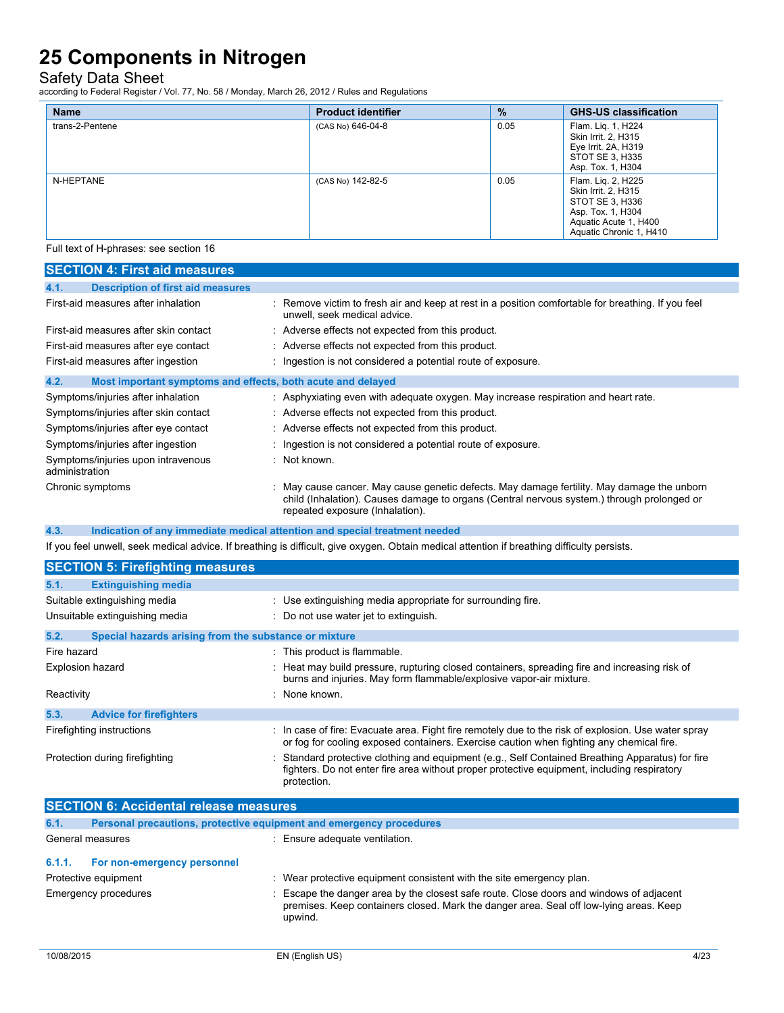Safety Data Sheet

according to Federal Register / Vol. 77, No. 58 / Monday, March 26, 2012 / Rules and Regulations

| <b>Name</b>     | <b>Product identifier</b> | $\%$ | <b>GHS-US classification</b>                                                                                                          |
|-----------------|---------------------------|------|---------------------------------------------------------------------------------------------------------------------------------------|
| trans-2-Pentene | (CAS No) 646-04-8         | 0.05 | Flam. Lig. 1, H224<br>Skin Irrit. 2, H315<br>Eye Irrit. 2A, H319<br>STOT SE 3, H335<br>Asp. Tox. 1, H304                              |
| N-HEPTANE       | (CAS No) 142-82-5         | 0.05 | Flam. Lig. 2, H225<br>Skin Irrit. 2, H315<br>STOT SE 3, H336<br>Asp. Tox. 1, H304<br>Aquatic Acute 1, H400<br>Aquatic Chronic 1, H410 |

Full text of H-phrases: see section 16

| <b>SECTION 4: First aid measures</b>                                               |                                                                                                                                                                                                                             |
|------------------------------------------------------------------------------------|-----------------------------------------------------------------------------------------------------------------------------------------------------------------------------------------------------------------------------|
| 4.1.<br><b>Description of first aid measures</b>                                   |                                                                                                                                                                                                                             |
| First-aid measures after inhalation                                                | : Remove victim to fresh air and keep at rest in a position comfortable for breathing. If you feel<br>unwell, seek medical advice.                                                                                          |
| First-aid measures after skin contact                                              | : Adverse effects not expected from this product.                                                                                                                                                                           |
| First-aid measures after eye contact                                               | : Adverse effects not expected from this product.                                                                                                                                                                           |
| First-aid measures after ingestion                                                 | : Ingestion is not considered a potential route of exposure.                                                                                                                                                                |
| 4.2.<br>Most important symptoms and effects, both acute and delayed                |                                                                                                                                                                                                                             |
| Symptoms/injuries after inhalation                                                 | : Asphyxiating even with adequate oxygen. May increase respiration and heart rate.                                                                                                                                          |
| Symptoms/injuries after skin contact                                               | : Adverse effects not expected from this product.                                                                                                                                                                           |
| Symptoms/injuries after eye contact                                                | : Adverse effects not expected from this product.                                                                                                                                                                           |
| Symptoms/injuries after ingestion                                                  | : Ingestion is not considered a potential route of exposure.                                                                                                                                                                |
| Symptoms/injuries upon intravenous<br>administration                               | : Not known.                                                                                                                                                                                                                |
| Chronic symptoms                                                                   | : May cause cancer. May cause genetic defects. May damage fertility. May damage the unborn<br>child (Inhalation). Causes damage to organs (Central nervous system.) through prolonged or<br>repeated exposure (Inhalation). |
| 4.3.<br>Indication of any immediate medical attention and special treatment needed |                                                                                                                                                                                                                             |

If you feel unwell, seek medical advice. If breathing is difficult, give oxygen. Obtain medical attention if breathing difficulty persists.

| <b>SECTION 5: Firefighting measures</b>                       |                                                                                                                                                                                                                |
|---------------------------------------------------------------|----------------------------------------------------------------------------------------------------------------------------------------------------------------------------------------------------------------|
| 5.1.<br><b>Extinguishing media</b>                            |                                                                                                                                                                                                                |
| Suitable extinguishing media                                  | : Use extinguishing media appropriate for surrounding fire.                                                                                                                                                    |
| Unsuitable extinguishing media                                | : Do not use water jet to extinguish.                                                                                                                                                                          |
| 5.2.<br>Special hazards arising from the substance or mixture |                                                                                                                                                                                                                |
| Fire hazard                                                   | : This product is flammable.                                                                                                                                                                                   |
| Explosion hazard                                              | : Heat may build pressure, rupturing closed containers, spreading fire and increasing risk of<br>burns and injuries. May form flammable/explosive vapor-air mixture.                                           |
| Reactivity                                                    | : None known.                                                                                                                                                                                                  |
| 5.3.<br><b>Advice for firefighters</b>                        |                                                                                                                                                                                                                |
| Firefighting instructions                                     | : In case of fire: Evacuate area. Fight fire remotely due to the risk of explosion. Use water spray<br>or fog for cooling exposed containers. Exercise caution when fighting any chemical fire.                |
| Protection during firefighting                                | : Standard protective clothing and equipment (e.g., Self Contained Breathing Apparatus) for fire<br>fighters. Do not enter fire area without proper protective equipment, including respiratory<br>protection. |

| <b>SECTION 6: Accidental release measures</b> |                                                                     |                                                                                                                                                                                              |
|-----------------------------------------------|---------------------------------------------------------------------|----------------------------------------------------------------------------------------------------------------------------------------------------------------------------------------------|
| 6.1.                                          | Personal precautions, protective equipment and emergency procedures |                                                                                                                                                                                              |
|                                               | General measures                                                    | : Ensure adequate ventilation.                                                                                                                                                               |
| 6.1.1.                                        | For non-emergency personnel                                         |                                                                                                                                                                                              |
|                                               | Protective equipment                                                | : Wear protective equipment consistent with the site emergency plan.                                                                                                                         |
|                                               | Emergency procedures                                                | : Escape the danger area by the closest safe route. Close doors and windows of adjacent<br>premises. Keep containers closed. Mark the danger area. Seal off low-lying areas. Keep<br>upwind. |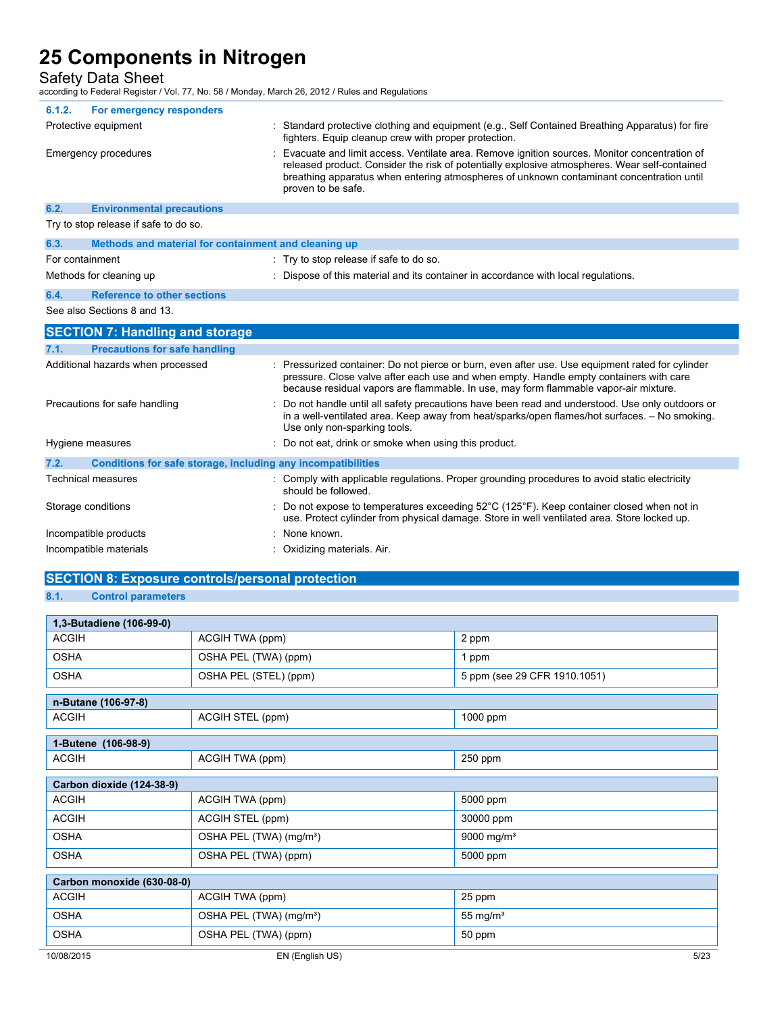Safety Data Sheet

according to Federal Register / Vol. 77, No. 58 / Monday, March 26, 2012 / Rules and Regulations

| 6.1.2.          | For emergency responders                                     |                                                                                                                                                                                                                                                                                                                 |
|-----------------|--------------------------------------------------------------|-----------------------------------------------------------------------------------------------------------------------------------------------------------------------------------------------------------------------------------------------------------------------------------------------------------------|
|                 | Protective equipment                                         | : Standard protective clothing and equipment (e.g., Self Contained Breathing Apparatus) for fire<br>fighters. Equip cleanup crew with proper protection.                                                                                                                                                        |
|                 | Emergency procedures                                         | Evacuate and limit access. Ventilate area. Remove ignition sources. Monitor concentration of<br>released product. Consider the risk of potentially explosive atmospheres. Wear self-contained<br>breathing apparatus when entering atmospheres of unknown contaminant concentration until<br>proven to be safe. |
| 6.2.            | <b>Environmental precautions</b>                             |                                                                                                                                                                                                                                                                                                                 |
|                 | Try to stop release if safe to do so.                        |                                                                                                                                                                                                                                                                                                                 |
| 6.3.            | Methods and material for containment and cleaning up         |                                                                                                                                                                                                                                                                                                                 |
| For containment |                                                              | : Try to stop release if safe to do so.                                                                                                                                                                                                                                                                         |
|                 | Methods for cleaning up                                      | : Dispose of this material and its container in accordance with local regulations.                                                                                                                                                                                                                              |
| 6.4.            | <b>Reference to other sections</b>                           |                                                                                                                                                                                                                                                                                                                 |
|                 | See also Sections 8 and 13.                                  |                                                                                                                                                                                                                                                                                                                 |
|                 | <b>SECTION 7: Handling and storage</b>                       |                                                                                                                                                                                                                                                                                                                 |
| 7.1.            | <b>Precautions for safe handling</b>                         |                                                                                                                                                                                                                                                                                                                 |
|                 | Additional hazards when processed                            | Pressurized container: Do not pierce or burn, even after use. Use equipment rated for cylinder<br>pressure. Close valve after each use and when empty. Handle empty containers with care<br>because residual vapors are flammable. In use, may form flammable vapor-air mixture.                                |
|                 | Precautions for safe handling                                | Do not handle until all safety precautions have been read and understood. Use only outdoors or<br>in a well-ventilated area. Keep away from heat/sparks/open flames/hot surfaces. - No smoking.<br>Use only non-sparking tools.                                                                                 |
|                 | Hygiene measures                                             | : Do not eat, drink or smoke when using this product.                                                                                                                                                                                                                                                           |
| 7.2.            | Conditions for safe storage, including any incompatibilities |                                                                                                                                                                                                                                                                                                                 |
|                 | <b>Technical measures</b>                                    | : Comply with applicable regulations. Proper grounding procedures to avoid static electricity<br>should be followed                                                                                                                                                                                             |
|                 | Storage conditions                                           | Do not expose to temperatures exceeding 52°C (125°F). Keep container closed when not in<br>use. Protect cylinder from physical damage. Store in well ventilated area. Store locked up.                                                                                                                          |
|                 | Incompatible products                                        | None known.                                                                                                                                                                                                                                                                                                     |
|                 | Incompatible materials                                       | Oxidizing materials. Air.                                                                                                                                                                                                                                                                                       |

### **SECTION 8: Exposure controls/personal protection 8.1. Control parameters**

| 1,3-Butadiene (106-99-0)   |                                     |                              |
|----------------------------|-------------------------------------|------------------------------|
| <b>ACGIH</b>               | ACGIH TWA (ppm)                     | 2 ppm                        |
| <b>OSHA</b>                | OSHA PEL (TWA) (ppm)                | 1 ppm                        |
| <b>OSHA</b>                | OSHA PEL (STEL) (ppm)               | 5 ppm (see 29 CFR 1910.1051) |
| n-Butane (106-97-8)        |                                     |                              |
| <b>ACGIH</b>               | ACGIH STEL (ppm)                    | 1000 ppm                     |
| 1-Butene (106-98-9)        |                                     |                              |
| <b>ACGIH</b>               | ACGIH TWA (ppm)                     | 250 ppm                      |
| Carbon dioxide (124-38-9)  |                                     |                              |
| <b>ACGIH</b>               | ACGIH TWA (ppm)                     | 5000 ppm                     |
| <b>ACGIH</b>               | ACGIH STEL (ppm)                    | 30000 ppm                    |
| <b>OSHA</b>                | OSHA PEL (TWA) (mg/m <sup>3</sup> ) | 9000 mg/m <sup>3</sup>       |
| <b>OSHA</b>                | OSHA PEL (TWA) (ppm)                | 5000 ppm                     |
| Carbon monoxide (630-08-0) |                                     |                              |
| <b>ACGIH</b>               | ACGIH TWA (ppm)                     | 25 ppm                       |
| <b>OSHA</b>                | OSHA PEL (TWA) (mg/m <sup>3</sup> ) | 55 mg/ $m3$                  |
| <b>OSHA</b>                | OSHA PEL (TWA) (ppm)                | 50 ppm                       |
| 10/08/2015                 | EN (English US)                     | 5/23                         |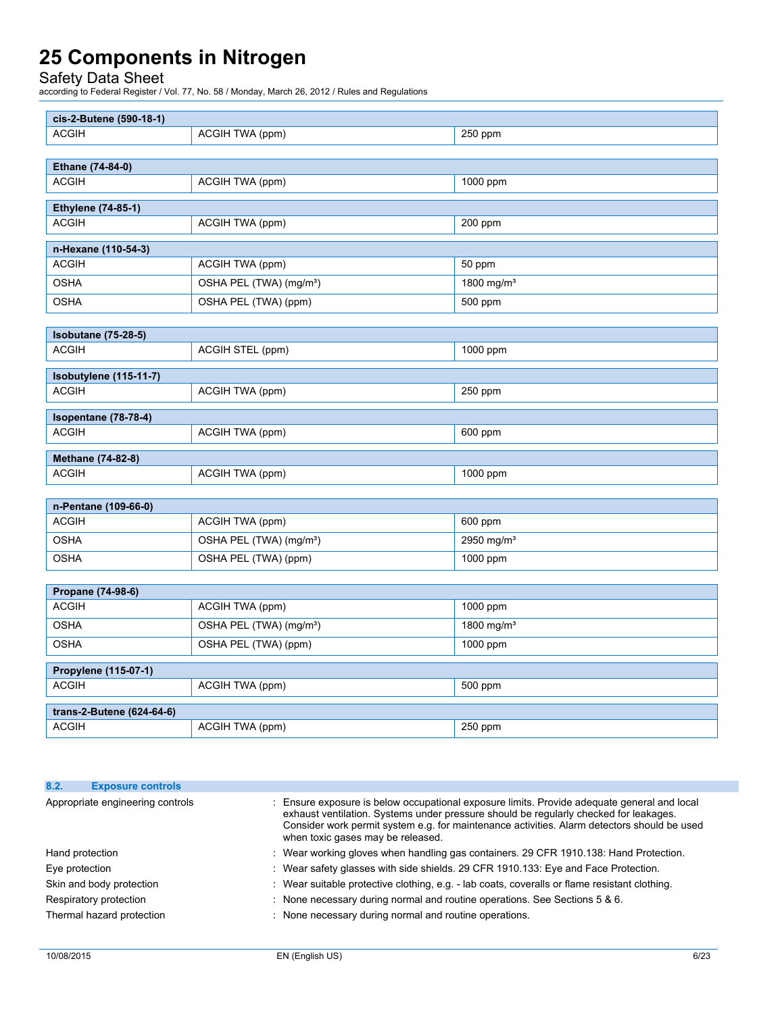Safety Data Sheet

| cis-2-Butene (590-18-1)                    |                                     |                        |
|--------------------------------------------|-------------------------------------|------------------------|
| <b>ACGIH</b>                               | ACGIH TWA (ppm)                     | 250 ppm                |
|                                            |                                     |                        |
| Ethane (74-84-0)                           |                                     |                        |
| <b>ACGIH</b>                               | ACGIH TWA (ppm)                     | 1000 ppm               |
| <b>Ethylene (74-85-1)</b>                  |                                     |                        |
| <b>ACGIH</b>                               | ACGIH TWA (ppm)                     | 200 ppm                |
| n-Hexane (110-54-3)                        |                                     |                        |
| <b>ACGIH</b>                               | ACGIH TWA (ppm)                     | 50 ppm                 |
| <b>OSHA</b>                                | OSHA PEL (TWA) (mg/m <sup>3</sup> ) | 1800 mg/m <sup>3</sup> |
| <b>OSHA</b>                                | OSHA PEL (TWA) (ppm)                | 500 ppm                |
|                                            |                                     |                        |
| <b>Isobutane (75-28-5)</b><br><b>ACGIH</b> |                                     | 1000 ppm               |
|                                            | ACGIH STEL (ppm)                    |                        |
| Isobutylene (115-11-7)                     |                                     |                        |
| <b>ACGIH</b>                               | ACGIH TWA (ppm)                     | 250 ppm                |
| Isopentane (78-78-4)                       |                                     |                        |
| <b>ACGIH</b>                               | ACGIH TWA (ppm)                     | 600 ppm                |
| Methane (74-82-8)                          |                                     |                        |
| <b>ACGIH</b>                               | ACGIH TWA (ppm)                     | 1000 ppm               |
|                                            |                                     |                        |
| n-Pentane (109-66-0)                       |                                     |                        |
| <b>ACGIH</b>                               | ACGIH TWA (ppm)                     | 600 ppm                |
| <b>OSHA</b>                                | OSHA PEL (TWA) (mg/m <sup>3</sup> ) | 2950 mg/m <sup>3</sup> |
| <b>OSHA</b>                                | OSHA PEL (TWA) (ppm)                | 1000 ppm               |
|                                            |                                     |                        |
| Propane (74-98-6)<br><b>ACGIH</b>          | ACGIH TWA (ppm)                     | 1000 ppm               |
| <b>OSHA</b>                                | OSHA PEL (TWA) (mg/m <sup>3</sup> ) | 1800 mg/m <sup>3</sup> |
| <b>OSHA</b>                                | OSHA PEL (TWA) (ppm)                | 1000 ppm               |
|                                            |                                     |                        |
| Propylene (115-07-1)<br><b>ACGIH</b>       | ACGIH TWA (ppm)                     | 500 ppm                |
|                                            |                                     |                        |
| trans-2-Butene (624-64-6)                  |                                     |                        |
| <b>ACGIH</b>                               | ACGIH TWA (ppm)                     | 250 ppm                |

| 8.2. | <b>Exposure controls</b>         |                                                                                                                                                                                                                                                                                                                          |  |
|------|----------------------------------|--------------------------------------------------------------------------------------------------------------------------------------------------------------------------------------------------------------------------------------------------------------------------------------------------------------------------|--|
|      | Appropriate engineering controls | : Ensure exposure is below occupational exposure limits. Provide adequate general and local<br>exhaust ventilation. Systems under pressure should be regularly checked for leakages.<br>Consider work permit system e.g. for maintenance activities. Alarm detectors should be used<br>when toxic gases may be released. |  |
|      | Hand protection                  | : Wear working gloves when handling gas containers. 29 CFR 1910.138: Hand Protection.                                                                                                                                                                                                                                    |  |
|      | Eye protection                   | : Wear safety glasses with side shields. 29 CFR 1910.133: Eye and Face Protection.                                                                                                                                                                                                                                       |  |
|      | Skin and body protection         | : Wear suitable protective clothing, e.g. - lab coats, coveralls or flame resistant clothing.                                                                                                                                                                                                                            |  |
|      | Respiratory protection           | : None necessary during normal and routine operations. See Sections 5 & 6.                                                                                                                                                                                                                                               |  |
|      | Thermal hazard protection        | : None necessary during normal and routine operations.                                                                                                                                                                                                                                                                   |  |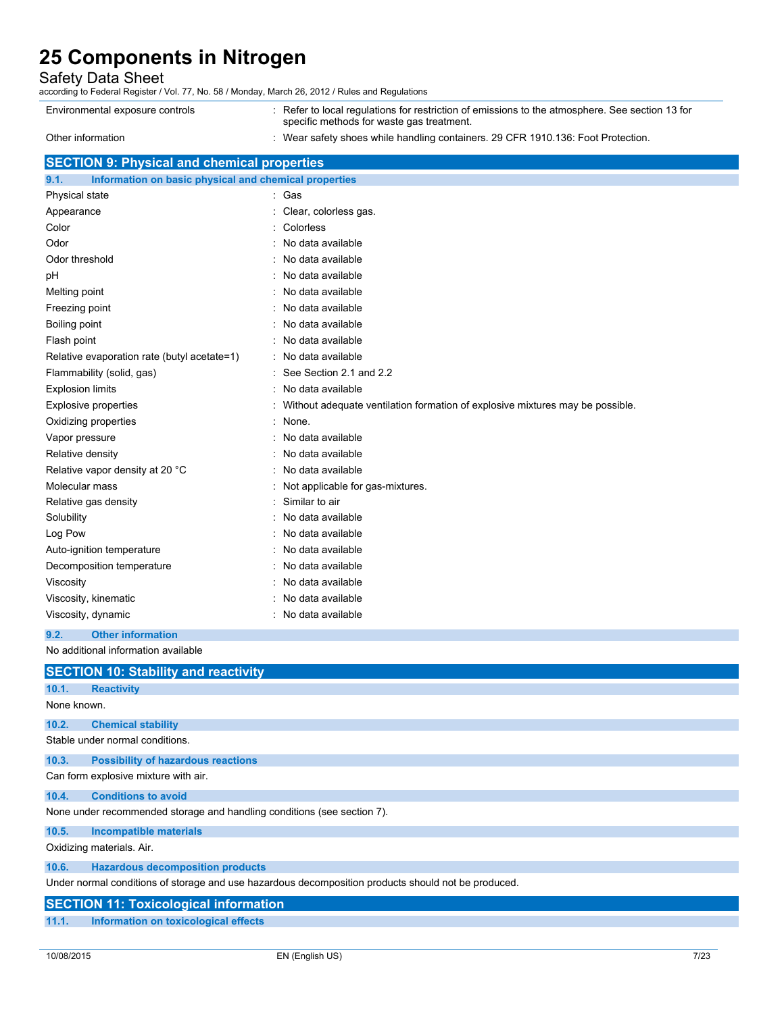Safety Data Sheet

according to Federal Register / Vol. 77, No. 58 / Monday, March 26, 2012 / Rules and Regulations

| Environmental exposure controls | : Refer to local requlations for restriction of emissions to the atmosphere. See section 13 for<br>specific methods for waste gas treatment. |
|---------------------------------|----------------------------------------------------------------------------------------------------------------------------------------------|
| Other information               | : Wear safety shoes while handling containers. 29 CFR 1910.136: Foot Protection.                                                             |

### **SECTION 9: Physical and chemical properties**

| 9.1.<br>Information on basic physical and chemical properties |                                                                                 |  |
|---------------------------------------------------------------|---------------------------------------------------------------------------------|--|
| Physical state                                                | : Gas                                                                           |  |
| Appearance                                                    | Clear, colorless gas.                                                           |  |
| Color                                                         | Colorless                                                                       |  |
| Odor                                                          | : No data available                                                             |  |
| Odor threshold                                                | : No data available                                                             |  |
| рH                                                            | : No data available                                                             |  |
| Melting point                                                 | : No data available                                                             |  |
| Freezing point                                                | : No data available                                                             |  |
| Boiling point                                                 | : No data available                                                             |  |
| Flash point                                                   | : No data available                                                             |  |
| Relative evaporation rate (butyl acetate=1)                   | : No data available                                                             |  |
| Flammability (solid, gas)                                     | See Section 2.1 and 2.2                                                         |  |
| <b>Explosion limits</b>                                       | : No data available                                                             |  |
| <b>Explosive properties</b>                                   | : Without adequate ventilation formation of explosive mixtures may be possible. |  |
| Oxidizing properties                                          | : None.                                                                         |  |
| Vapor pressure                                                | No data available                                                               |  |
| Relative density                                              | : No data available                                                             |  |
| Relative vapor density at 20 °C                               | : No data available                                                             |  |
| Molecular mass                                                | : Not applicable for gas-mixtures.                                              |  |
| Relative gas density                                          | Similar to air                                                                  |  |
| Solubility                                                    | No data available                                                               |  |
| Log Pow                                                       | No data available                                                               |  |
| Auto-ignition temperature                                     | : No data available                                                             |  |
| Decomposition temperature                                     | No data available                                                               |  |
| Viscosity                                                     | : No data available                                                             |  |
| Viscosity, kinematic                                          | No data available                                                               |  |
| Viscosity, dynamic                                            | : No data available                                                             |  |
| <b>Other information</b><br>9.2.                              |                                                                                 |  |
| No additional information available                           |                                                                                 |  |
| <b>SECTION 10: Stability and reactivity</b>                   |                                                                                 |  |

| 10.1.       | <b>Reactivity</b>                                                                                   |
|-------------|-----------------------------------------------------------------------------------------------------|
| None known. |                                                                                                     |
| 10.2.       | <b>Chemical stability</b>                                                                           |
|             | Stable under normal conditions.                                                                     |
| 10.3.       | <b>Possibility of hazardous reactions</b>                                                           |
|             | Can form explosive mixture with air.                                                                |
| 10.4.       | <b>Conditions to avoid</b>                                                                          |
|             | None under recommended storage and handling conditions (see section 7).                             |
| 10.5.       | <b>Incompatible materials</b>                                                                       |
|             | Oxidizing materials. Air.                                                                           |
| 10.6.       | <b>Hazardous decomposition products</b>                                                             |
|             | Under normal conditions of storage and use hazardous decomposition products should not be produced. |
|             | <b>SECTION 11: Toxicological information</b>                                                        |
| 11.1.       | Information on toxicological effects                                                                |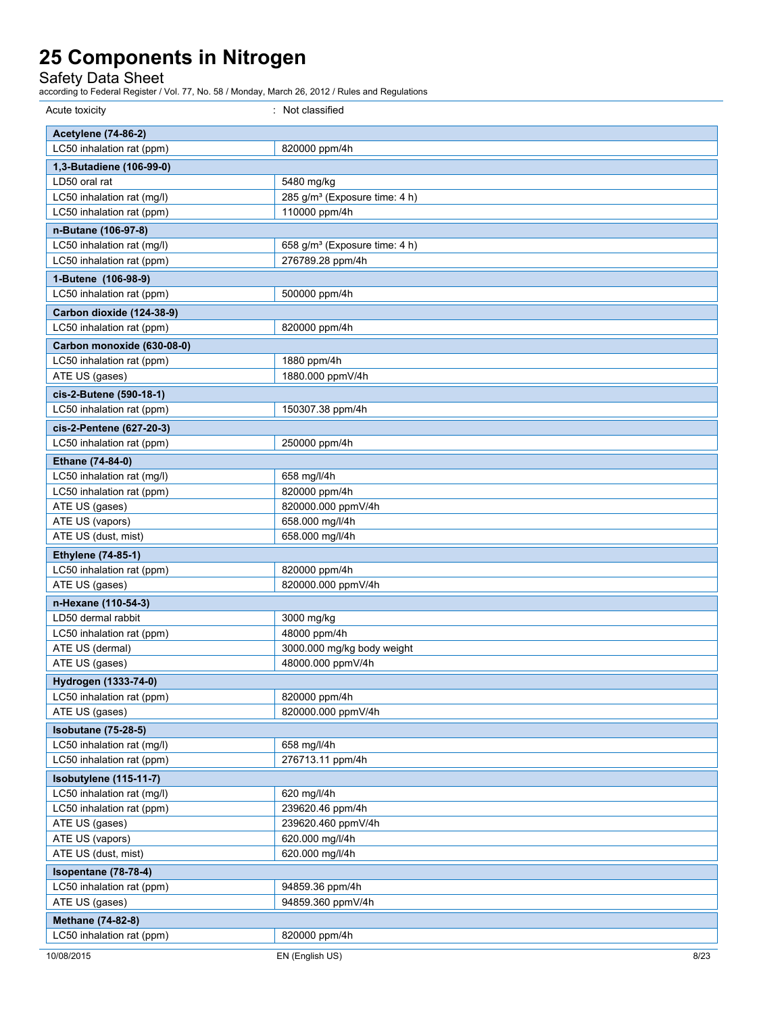Safety Data Sheet

| Acute toxicity                                          | : Not classified                          |
|---------------------------------------------------------|-------------------------------------------|
| <b>Acetylene (74-86-2)</b>                              |                                           |
| LC50 inhalation rat (ppm)                               | 820000 ppm/4h                             |
| 1,3-Butadiene (106-99-0)                                |                                           |
| LD50 oral rat                                           | 5480 mg/kg                                |
| LC50 inhalation rat (mg/l)                              | 285 g/m <sup>3</sup> (Exposure time: 4 h) |
| LC50 inhalation rat (ppm)                               | 110000 ppm/4h                             |
| n-Butane (106-97-8)                                     |                                           |
| LC50 inhalation rat (mg/l)                              | 658 g/m <sup>3</sup> (Exposure time: 4 h) |
| LC50 inhalation rat (ppm)                               | 276789.28 ppm/4h                          |
| 1-Butene (106-98-9)                                     |                                           |
| LC50 inhalation rat (ppm)                               | 500000 ppm/4h                             |
| Carbon dioxide (124-38-9)                               |                                           |
| LC50 inhalation rat (ppm)                               | 820000 ppm/4h                             |
| Carbon monoxide (630-08-0)                              |                                           |
| LC50 inhalation rat (ppm)                               | 1880 ppm/4h                               |
| ATE US (gases)                                          | 1880.000 ppmV/4h                          |
| cis-2-Butene (590-18-1)                                 |                                           |
| LC50 inhalation rat (ppm)                               | 150307.38 ppm/4h                          |
|                                                         |                                           |
| cis-2-Pentene (627-20-3)<br>LC50 inhalation rat (ppm)   | 250000 ppm/4h                             |
|                                                         |                                           |
| Ethane (74-84-0)                                        |                                           |
| LC50 inhalation rat (mg/l)<br>LC50 inhalation rat (ppm) | 658 mg/l/4h<br>820000 ppm/4h              |
| ATE US (gases)                                          | 820000.000 ppmV/4h                        |
| ATE US (vapors)                                         | 658.000 mg/l/4h                           |
| ATE US (dust, mist)                                     | 658.000 mg/l/4h                           |
| <b>Ethylene</b> (74-85-1)                               |                                           |
| LC50 inhalation rat (ppm)                               | 820000 ppm/4h                             |
| ATE US (gases)                                          | 820000.000 ppmV/4h                        |
| n-Hexane (110-54-3)                                     |                                           |
| LD50 dermal rabbit                                      | 3000 mg/kg                                |
| LC50 inhalation rat (ppm)                               | 48000 ppm/4h                              |
| ATE US (dermal)                                         | 3000.000 mg/kg body weight                |
| ATE US (gases)                                          | 48000.000 ppmV/4h                         |
| Hydrogen (1333-74-0)                                    |                                           |
| LC50 inhalation rat (ppm)                               | 820000 ppm/4h                             |
| ATE US (gases)                                          | 820000.000 ppmV/4h                        |
| <b>Isobutane (75-28-5)</b>                              |                                           |
| LC50 inhalation rat (mg/l)                              | 658 mg/l/4h                               |
| LC50 inhalation rat (ppm)                               | 276713.11 ppm/4h                          |
| Isobutylene (115-11-7)                                  |                                           |
| LC50 inhalation rat (mg/l)                              | 620 mg/l/4h                               |
| LC50 inhalation rat (ppm)                               | 239620.46 ppm/4h                          |
| ATE US (gases)                                          | 239620.460 ppmV/4h                        |
| ATE US (vapors)                                         | 620.000 mg/l/4h                           |
| ATE US (dust, mist)                                     | 620.000 mg/l/4h                           |
| Isopentane (78-78-4)                                    |                                           |
| LC50 inhalation rat (ppm)                               | 94859.36 ppm/4h                           |
| ATE US (gases)                                          | 94859.360 ppmV/4h                         |
| Methane (74-82-8)                                       |                                           |
| LC50 inhalation rat (ppm)                               | 820000 ppm/4h                             |
| 10/08/2015                                              | EN (English US)<br>8/23                   |
|                                                         |                                           |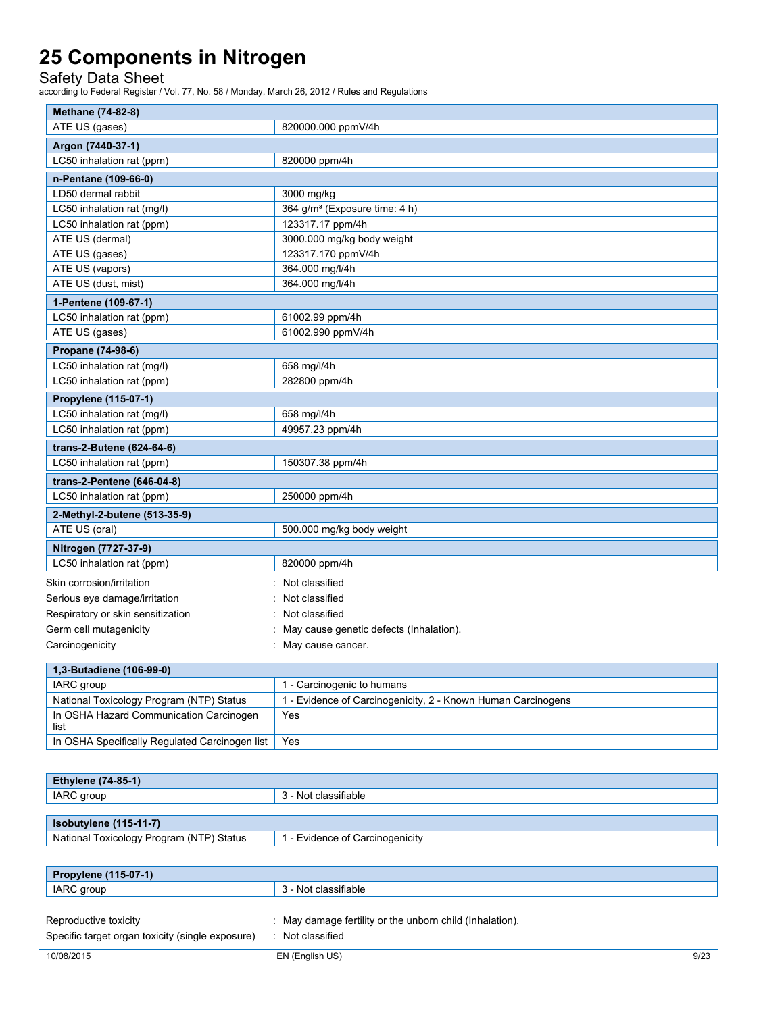Safety Data Sheet

| Methane (74-82-8)                 |                                           |  |
|-----------------------------------|-------------------------------------------|--|
| ATE US (gases)                    | 820000.000 ppmV/4h                        |  |
| Argon (7440-37-1)                 |                                           |  |
| LC50 inhalation rat (ppm)         | 820000 ppm/4h                             |  |
| n-Pentane (109-66-0)              |                                           |  |
| LD50 dermal rabbit                | 3000 mg/kg                                |  |
| LC50 inhalation rat (mg/l)        | 364 g/m <sup>3</sup> (Exposure time: 4 h) |  |
| LC50 inhalation rat (ppm)         | 123317.17 ppm/4h                          |  |
| ATE US (dermal)                   | 3000.000 mg/kg body weight                |  |
| ATE US (gases)                    | 123317.170 ppmV/4h                        |  |
| ATE US (vapors)                   | 364.000 mg/l/4h                           |  |
| ATE US (dust, mist)               | 364.000 mg/l/4h                           |  |
| 1-Pentene (109-67-1)              |                                           |  |
| LC50 inhalation rat (ppm)         | 61002.99 ppm/4h                           |  |
| ATE US (gases)                    | 61002.990 ppmV/4h                         |  |
| Propane (74-98-6)                 |                                           |  |
| LC50 inhalation rat (mg/l)        | 658 mg/l/4h                               |  |
| LC50 inhalation rat (ppm)         | 282800 ppm/4h                             |  |
| Propylene (115-07-1)              |                                           |  |
| LC50 inhalation rat (mg/l)        | 658 mg/l/4h                               |  |
| LC50 inhalation rat (ppm)         | 49957.23 ppm/4h                           |  |
| trans-2-Butene (624-64-6)         |                                           |  |
| LC50 inhalation rat (ppm)         | 150307.38 ppm/4h                          |  |
| trans-2-Pentene (646-04-8)        |                                           |  |
| LC50 inhalation rat (ppm)         | 250000 ppm/4h                             |  |
| 2-Methyl-2-butene (513-35-9)      |                                           |  |
| ATE US (oral)                     | 500.000 mg/kg body weight                 |  |
| Nitrogen (7727-37-9)              |                                           |  |
| LC50 inhalation rat (ppm)         | 820000 ppm/4h                             |  |
| Skin corrosion/irritation         | : Not classified                          |  |
| Serious eye damage/irritation     | Not classified                            |  |
| Respiratory or skin sensitization | Not classified                            |  |
| Germ cell mutagenicity            | May cause genetic defects (Inhalation).   |  |
| Carcinogenicity                   | : May cause cancer.                       |  |

| 1,3-Butadiene (106-99-0)                        |                                                              |
|-------------------------------------------------|--------------------------------------------------------------|
| IARC group                                      | 1 - Carcinogenic to humans                                   |
| National Toxicology Program (NTP) Status        | 1 - Evidence of Carcinogenicity, 2 - Known Human Carcinogens |
| In OSHA Hazard Communication Carcinogen<br>list | Yes                                                          |
| In OSHA Specifically Regulated Carcinogen list  | Yes                                                          |

| <b>Ethylene (74-85-1)</b>                |                                 |  |
|------------------------------------------|---------------------------------|--|
| IARC group                               | 3 - Not classifiable            |  |
|                                          |                                 |  |
| Isobutylene (115-11-7)                   |                                 |  |
| National Toxicology Program (NTP) Status | 1 - Evidence of Carcinogenicity |  |
|                                          |                                 |  |

| <b>Propylene (115-07-1)</b>                                               |                                                                            |      |
|---------------------------------------------------------------------------|----------------------------------------------------------------------------|------|
| IARC group                                                                | 3 - Not classifiable                                                       |      |
| Reproductive toxicity<br>Specific target organ toxicity (single exposure) | : May damage fertility or the unborn child (Inhalation).<br>Not classified |      |
| 10/08/2015                                                                | EN (English US)                                                            | 9/23 |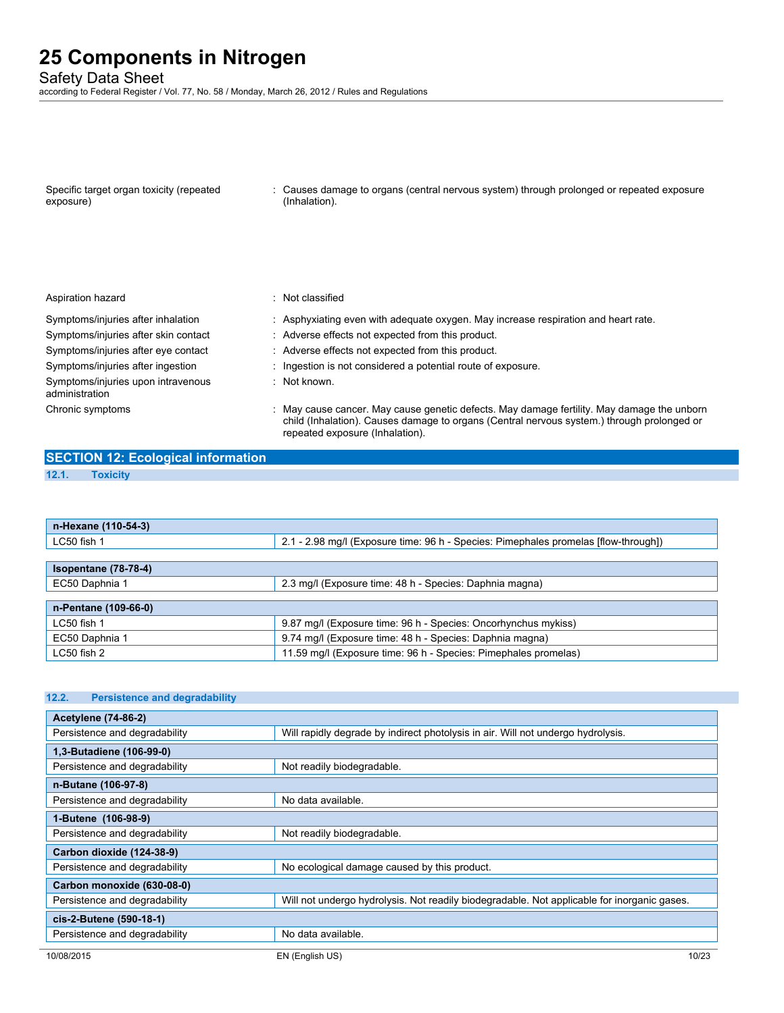Safety Data Sheet

according to Federal Register / Vol. 77, No. 58 / Monday, March 26, 2012 / Rules and Regulations

| Specific target organ toxicity (repeated<br>exposure) | : Causes damage to organs (central nervous system) through prolonged or repeated exposure<br>(Inhalation). |
|-------------------------------------------------------|------------------------------------------------------------------------------------------------------------|
|                                                       |                                                                                                            |

#### Aspiration hazard **in the set of the set of the set of the set of the set of the set of the set of the set of the set of the set of the set of the set of the set of the set of the set of the set of the set of the set of th**

administration

- Symptoms/injuries after inhalation : Asphyxiating even with adequate oxygen. May increase respiration and heart rate.
- Symptoms/injuries after skin contact : Adverse effects not expected from this product.
- Symptoms/injuries after eye contact : Adverse effects not expected from this product.
- Symptoms/injuries after ingestion : Ingestion is not considered a potential route of exposure.
	- : Not known.

Chronic symptoms : May cause cancer. May cause genetic defects. May damage fertility. May damage the unborn child (Inhalation). Causes damage to organs (Central nervous system.) through prolonged or repeated exposure (Inhalation).

#### **SECTION 12: Ecological information 12.1. Toxicity**

Symptoms/injuries upon intravenous

| n-Hexane (110-54-3)  |                                                                                     |
|----------------------|-------------------------------------------------------------------------------------|
| LC50 fish 1          | 2.1 - 2.98 mg/l (Exposure time: 96 h - Species: Pimephales promelas [flow-through]) |
|                      |                                                                                     |
| Isopentane (78-78-4) |                                                                                     |
| EC50 Daphnia 1       | 2.3 mg/l (Exposure time: 48 h - Species: Daphnia magna)                             |
|                      |                                                                                     |
| n-Pentane (109-66-0) |                                                                                     |
| LC50 fish 1          | 9.87 mg/l (Exposure time: 96 h - Species: Oncorhynchus mykiss)                      |
| EC50 Daphnia 1       | 9.74 mg/l (Exposure time: 48 h - Species: Daphnia magna)                            |
| LC50 fish 2          | 11.59 mg/l (Exposure time: 96 h - Species: Pimephales promelas)                     |

#### **12.2. Persistence and degradability**

| <b>Acetylene (74-86-2)</b>    |                                                                                             |  |
|-------------------------------|---------------------------------------------------------------------------------------------|--|
| Persistence and degradability | Will rapidly degrade by indirect photolysis in air. Will not undergo hydrolysis.            |  |
| 1,3-Butadiene (106-99-0)      |                                                                                             |  |
| Persistence and degradability | Not readily biodegradable.                                                                  |  |
| n-Butane (106-97-8)           |                                                                                             |  |
| Persistence and degradability | No data available.                                                                          |  |
| 1-Butene (106-98-9)           |                                                                                             |  |
| Persistence and degradability | Not readily biodegradable.                                                                  |  |
| Carbon dioxide (124-38-9)     |                                                                                             |  |
| Persistence and degradability | No ecological damage caused by this product.                                                |  |
| Carbon monoxide (630-08-0)    |                                                                                             |  |
| Persistence and degradability | Will not undergo hydrolysis. Not readily biodegradable. Not applicable for inorganic gases. |  |
| cis-2-Butene (590-18-1)       |                                                                                             |  |
| Persistence and degradability | No data available.                                                                          |  |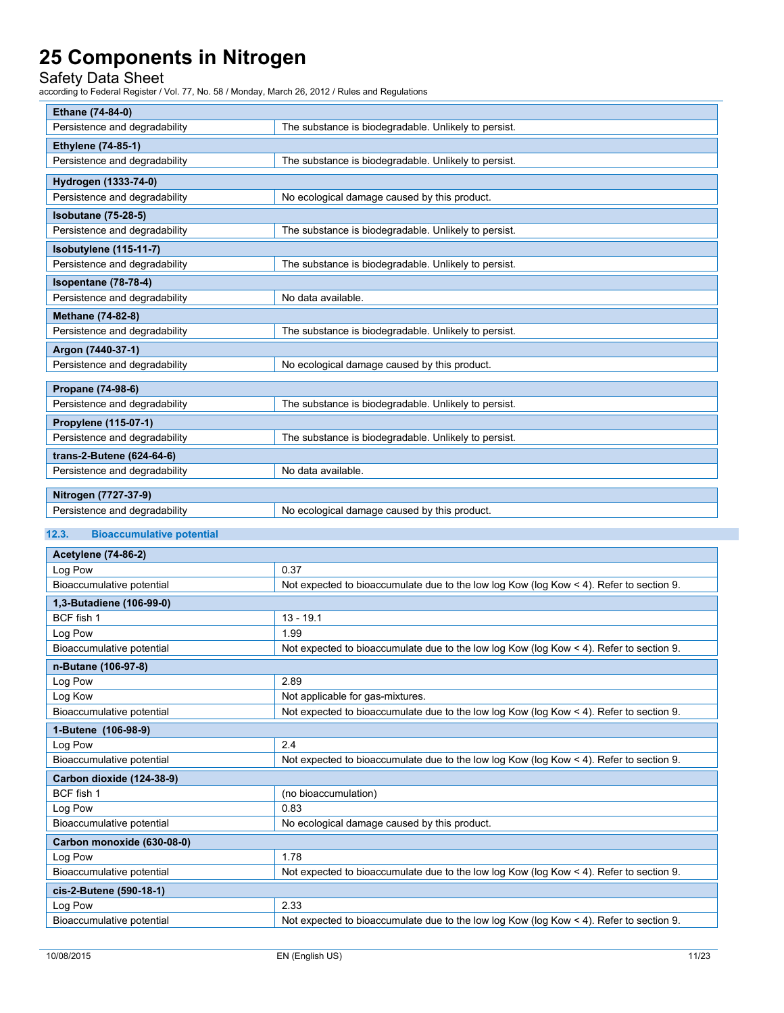Safety Data Sheet

according to Federal Register / Vol. 77, No. 58 / Monday, March 26, 2012 / Rules and Regulations

|                           | Ethane (74-84-0)              |                                                      |  |
|---------------------------|-------------------------------|------------------------------------------------------|--|
|                           | Persistence and degradability | The substance is biodegradable. Unlikely to persist. |  |
| <b>Ethylene (74-85-1)</b> |                               |                                                      |  |
|                           | Persistence and degradability | The substance is biodegradable. Unlikely to persist. |  |
|                           | Hydrogen (1333-74-0)          |                                                      |  |
|                           | Persistence and degradability | No ecological damage caused by this product.         |  |
|                           | <b>Isobutane (75-28-5)</b>    |                                                      |  |
|                           | Persistence and degradability | The substance is biodegradable. Unlikely to persist. |  |
|                           | Isobutylene (115-11-7)        |                                                      |  |
|                           | Persistence and degradability | The substance is biodegradable. Unlikely to persist. |  |
|                           | Isopentane (78-78-4)          |                                                      |  |
|                           | Persistence and degradability | No data available.                                   |  |
| <b>Methane (74-82-8)</b>  |                               |                                                      |  |
|                           | Persistence and degradability | The substance is biodegradable. Unlikely to persist. |  |
| Argon (7440-37-1)         |                               |                                                      |  |
|                           | Persistence and degradability | No ecological damage caused by this product.         |  |
|                           |                               |                                                      |  |
|                           | Propane (74-98-6)             |                                                      |  |
|                           | Persistence and degradability | The substance is biodegradable. Unlikely to persist. |  |
| Propylene (115-07-1)      |                               |                                                      |  |
|                           | Persistence and degradability | The substance is biodegradable. Unlikely to persist. |  |
|                           | trans-2-Butene (624-64-6)     |                                                      |  |
|                           | Persistence and degradability | No data available.                                   |  |
|                           |                               |                                                      |  |
|                           | Nitrogen (7727-37-9)          |                                                      |  |
|                           | Persistence and degradability | No ecological damage caused by this product.         |  |

#### **12.3. Bioaccumulative potential**

| <b>Acetylene (74-86-2)</b> |                                                                                               |  |  |
|----------------------------|-----------------------------------------------------------------------------------------------|--|--|
| Log Pow                    | 0.37                                                                                          |  |  |
| Bioaccumulative potential  | Not expected to bioaccumulate due to the low log Kow (log Kow $\lt 4$ ). Refer to section 9.  |  |  |
| 1,3-Butadiene (106-99-0)   |                                                                                               |  |  |
| BCF fish 1                 | $13 - 19.1$                                                                                   |  |  |
| Log Pow                    | 1.99                                                                                          |  |  |
| Bioaccumulative potential  | Not expected to bioaccumulate due to the low log Kow (log Kow $\lt 4$ ). Refer to section 9.  |  |  |
| n-Butane (106-97-8)        |                                                                                               |  |  |
| Log Pow                    | 2.89                                                                                          |  |  |
| Log Kow                    | Not applicable for gas-mixtures.                                                              |  |  |
| Bioaccumulative potential  | Not expected to bioaccumulate due to the low log Kow (log Kow $\leq 4$ ). Refer to section 9. |  |  |
| 1-Butene (106-98-9)        |                                                                                               |  |  |
| Log Pow                    | 2.4                                                                                           |  |  |
| Bioaccumulative potential  | Not expected to bioaccumulate due to the low log Kow (log Kow $\leq 4$ ). Refer to section 9. |  |  |
| Carbon dioxide (124-38-9)  |                                                                                               |  |  |
| BCF fish 1                 | (no bioaccumulation)                                                                          |  |  |
| Log Pow                    | 0.83                                                                                          |  |  |
| Bioaccumulative potential  | No ecological damage caused by this product.                                                  |  |  |
| Carbon monoxide (630-08-0) |                                                                                               |  |  |
| Log Pow                    | 1.78                                                                                          |  |  |
| Bioaccumulative potential  | Not expected to bioaccumulate due to the low log Kow (log Kow $\leq$ 4). Refer to section 9.  |  |  |
| cis-2-Butene (590-18-1)    |                                                                                               |  |  |
| Log Pow                    | 2.33                                                                                          |  |  |
| Bioaccumulative potential  | Not expected to bioaccumulate due to the low log Kow (log Kow $\leq$ 4). Refer to section 9.  |  |  |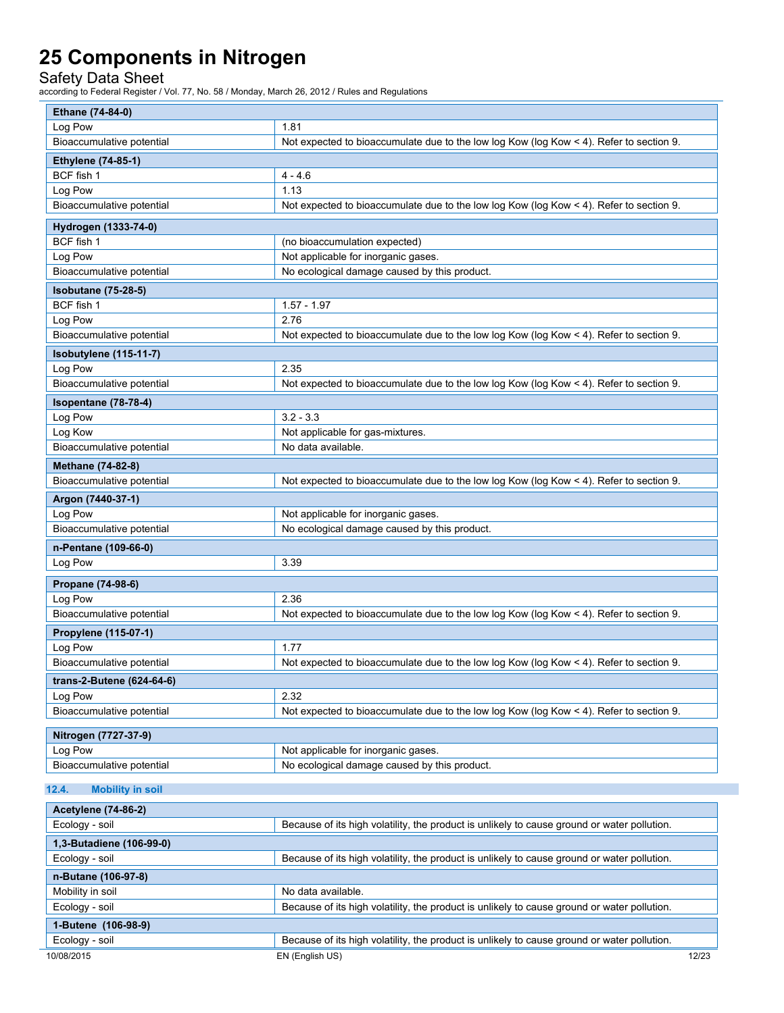Safety Data Sheet

| Ethane (74-84-0)                 |                                                                                               |  |  |  |
|----------------------------------|-----------------------------------------------------------------------------------------------|--|--|--|
| Log Pow                          | 1.81                                                                                          |  |  |  |
| Bioaccumulative potential        | Not expected to bioaccumulate due to the low log Kow (log Kow < 4). Refer to section 9.       |  |  |  |
| <b>Ethylene (74-85-1)</b>        |                                                                                               |  |  |  |
| BCF fish 1                       | $4 - 4.6$                                                                                     |  |  |  |
| Log Pow                          | 1.13                                                                                          |  |  |  |
| Bioaccumulative potential        | Not expected to bioaccumulate due to the low log Kow (log Kow $\leq 4$ ). Refer to section 9. |  |  |  |
| Hydrogen (1333-74-0)             |                                                                                               |  |  |  |
| BCF fish 1                       | (no bioaccumulation expected)                                                                 |  |  |  |
| Log Pow                          | Not applicable for inorganic gases.                                                           |  |  |  |
| Bioaccumulative potential        | No ecological damage caused by this product.                                                  |  |  |  |
| <b>Isobutane (75-28-5)</b>       |                                                                                               |  |  |  |
| BCF fish 1                       | $1.57 - 1.97$                                                                                 |  |  |  |
| Log Pow                          | 2.76                                                                                          |  |  |  |
| Bioaccumulative potential        | Not expected to bioaccumulate due to the low log Kow (log Kow < 4). Refer to section 9.       |  |  |  |
| <b>Isobutylene</b> (115-11-7)    |                                                                                               |  |  |  |
| Log Pow                          | 2.35                                                                                          |  |  |  |
| Bioaccumulative potential        | Not expected to bioaccumulate due to the low log Kow (log Kow $\leq 4$ ). Refer to section 9. |  |  |  |
| Isopentane (78-78-4)             |                                                                                               |  |  |  |
| Log Pow                          | $3.2 - 3.3$                                                                                   |  |  |  |
| Log Kow                          | Not applicable for gas-mixtures.                                                              |  |  |  |
| Bioaccumulative potential        | No data available.                                                                            |  |  |  |
| <b>Methane (74-82-8)</b>         |                                                                                               |  |  |  |
| Bioaccumulative potential        | Not expected to bioaccumulate due to the low log Kow (log Kow $\leq 4$ ). Refer to section 9. |  |  |  |
| Argon (7440-37-1)                |                                                                                               |  |  |  |
| Log Pow                          | Not applicable for inorganic gases.                                                           |  |  |  |
| Bioaccumulative potential        | No ecological damage caused by this product.                                                  |  |  |  |
| n-Pentane (109-66-0)             |                                                                                               |  |  |  |
| Log Pow                          | 3.39                                                                                          |  |  |  |
| Propane (74-98-6)                |                                                                                               |  |  |  |
| Log Pow                          | 2.36                                                                                          |  |  |  |
| Bioaccumulative potential        | Not expected to bioaccumulate due to the low log Kow (log Kow < 4). Refer to section 9.       |  |  |  |
| Propylene (115-07-1)             |                                                                                               |  |  |  |
| Log Pow                          | 1.77                                                                                          |  |  |  |
| Bioaccumulative potential        | Not expected to bioaccumulate due to the low log Kow (log Kow < 4). Refer to section 9.       |  |  |  |
| trans-2-Butene (624-64-6)        |                                                                                               |  |  |  |
| Log Pow                          | 2.32                                                                                          |  |  |  |
| Bioaccumulative potential        | Not expected to bioaccumulate due to the low log Kow (log Kow < 4). Refer to section 9.       |  |  |  |
| Nitrogen (7727-37-9)             |                                                                                               |  |  |  |
| Log Pow                          | Not applicable for inorganic gases.                                                           |  |  |  |
| Bioaccumulative potential        | No ecological damage caused by this product.                                                  |  |  |  |
| 12.4.<br><b>Mobility in soil</b> |                                                                                               |  |  |  |
| <b>Acetylene (74-86-2)</b>       |                                                                                               |  |  |  |
| Ecology - soil                   | Because of its high volatility, the product is unlikely to cause ground or water pollution.   |  |  |  |
| 1,3-Butadiene (106-99-0)         |                                                                                               |  |  |  |
|                                  |                                                                                               |  |  |  |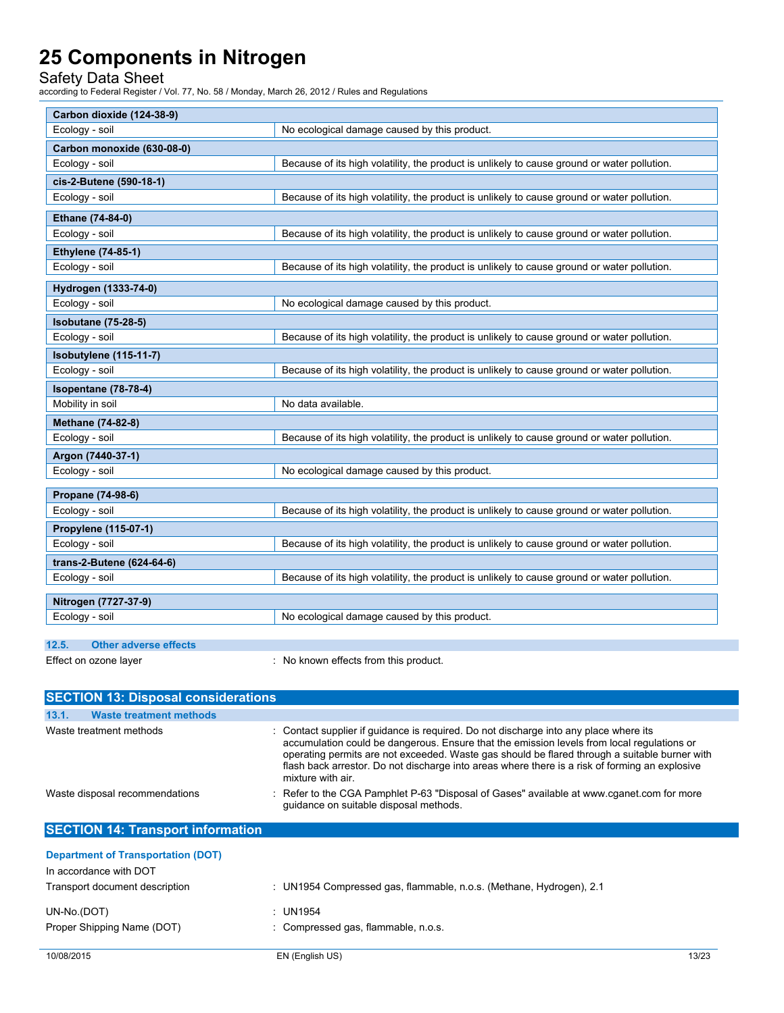Safety Data Sheet

| Carbon dioxide (124-38-9)             |                                                                                             |
|---------------------------------------|---------------------------------------------------------------------------------------------|
| Ecology - soil                        | No ecological damage caused by this product.                                                |
| Carbon monoxide (630-08-0)            |                                                                                             |
| Ecology - soil                        | Because of its high volatility, the product is unlikely to cause ground or water pollution. |
| cis-2-Butene (590-18-1)               |                                                                                             |
| Ecology - soil                        | Because of its high volatility, the product is unlikely to cause ground or water pollution. |
| Ethane (74-84-0)                      |                                                                                             |
| Ecology - soil                        | Because of its high volatility, the product is unlikely to cause ground or water pollution. |
| <b>Ethylene (74-85-1)</b>             |                                                                                             |
| Ecology - soil                        | Because of its high volatility, the product is unlikely to cause ground or water pollution. |
| Hydrogen (1333-74-0)                  |                                                                                             |
| Ecology - soil                        | No ecological damage caused by this product.                                                |
| <b>Isobutane (75-28-5)</b>            |                                                                                             |
| Ecology - soil                        | Because of its high volatility, the product is unlikely to cause ground or water pollution. |
| Isobutylene (115-11-7)                |                                                                                             |
| Ecology - soil                        | Because of its high volatility, the product is unlikely to cause ground or water pollution. |
| Isopentane (78-78-4)                  |                                                                                             |
| Mobility in soil                      | No data available.                                                                          |
| Methane (74-82-8)                     |                                                                                             |
| Ecology - soil                        | Because of its high volatility, the product is unlikely to cause ground or water pollution. |
| Argon (7440-37-1)                     |                                                                                             |
| Ecology - soil                        | No ecological damage caused by this product.                                                |
| Propane (74-98-6)                     |                                                                                             |
| Ecology - soil                        | Because of its high volatility, the product is unlikely to cause ground or water pollution. |
| Propylene (115-07-1)                  |                                                                                             |
| Ecology - soil                        | Because of its high volatility, the product is unlikely to cause ground or water pollution. |
| trans-2-Butene (624-64-6)             |                                                                                             |
| Ecology - soil                        | Because of its high volatility, the product is unlikely to cause ground or water pollution. |
| Nitrogen (7727-37-9)                  |                                                                                             |
| Ecology - soil                        | No ecological damage caused by this product.                                                |
|                                       |                                                                                             |
| 12.5.<br><b>Other adverse effects</b> |                                                                                             |
| Effect on ozone layer                 | : No known effects from this product.                                                       |

| <b>SECTION 13: Disposal considerations</b>                                                                                                                            |                                                                                                                                                                                                                                                                                                                                                                                                             |  |  |
|-----------------------------------------------------------------------------------------------------------------------------------------------------------------------|-------------------------------------------------------------------------------------------------------------------------------------------------------------------------------------------------------------------------------------------------------------------------------------------------------------------------------------------------------------------------------------------------------------|--|--|
| 13.1.<br><b>Waste treatment methods</b>                                                                                                                               |                                                                                                                                                                                                                                                                                                                                                                                                             |  |  |
| Waste treatment methods                                                                                                                                               | : Contact supplier if guidance is required. Do not discharge into any place where its<br>accumulation could be dangerous. Ensure that the emission levels from local regulations or<br>operating permits are not exceeded. Waste gas should be flared through a suitable burner with<br>flash back arrestor. Do not discharge into areas where there is a risk of forming an explosive<br>mixture with air. |  |  |
| : Refer to the CGA Pamphlet P-63 "Disposal of Gases" available at www.cganet.com for more<br>Waste disposal recommendations<br>quidance on suitable disposal methods. |                                                                                                                                                                                                                                                                                                                                                                                                             |  |  |
| <b>SECTION 14: Transport information</b>                                                                                                                              |                                                                                                                                                                                                                                                                                                                                                                                                             |  |  |
| <b>Department of Transportation (DOT)</b><br>In accordance with DOT                                                                                                   |                                                                                                                                                                                                                                                                                                                                                                                                             |  |  |
| Transport document description                                                                                                                                        | : UN1954 Compressed gas, flammable, n.o.s. (Methane, Hydrogen), 2.1                                                                                                                                                                                                                                                                                                                                         |  |  |
| UN-No.(DOT)                                                                                                                                                           | : UN1954                                                                                                                                                                                                                                                                                                                                                                                                    |  |  |
| Proper Shipping Name (DOT)                                                                                                                                            | : Compressed gas, flammable, n.o.s.                                                                                                                                                                                                                                                                                                                                                                         |  |  |
| 10/08/2015                                                                                                                                                            | EN (English US)<br>13/23                                                                                                                                                                                                                                                                                                                                                                                    |  |  |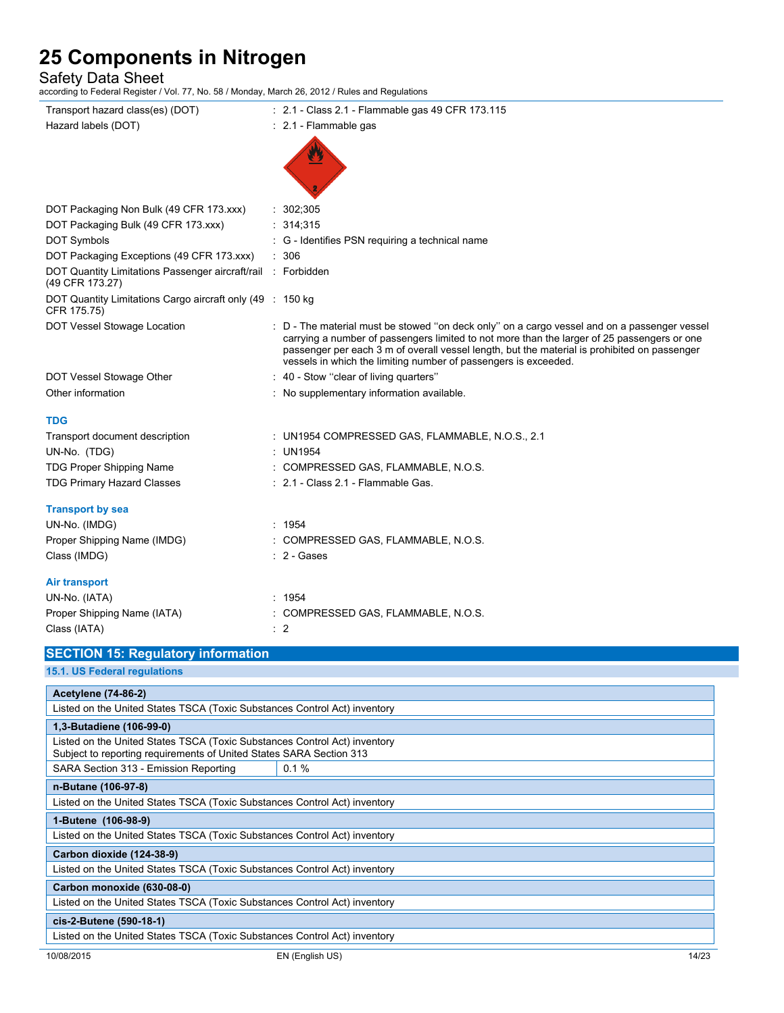### Safety Data Sheet

according to Federal Register / Vol. 77, No. 58 / Monday, March 26, 2012 / Rules and Regulations

| Transport hazard class(es) (DOT)                                                | : 2.1 - Class 2.1 - Flammable gas 49 CFR 173.115                                                                                                                                                                                                                                                                                                               |  |  |  |  |
|---------------------------------------------------------------------------------|----------------------------------------------------------------------------------------------------------------------------------------------------------------------------------------------------------------------------------------------------------------------------------------------------------------------------------------------------------------|--|--|--|--|
| Hazard labels (DOT)                                                             | $\therefore$ 2.1 - Flammable gas                                                                                                                                                                                                                                                                                                                               |  |  |  |  |
|                                                                                 |                                                                                                                                                                                                                                                                                                                                                                |  |  |  |  |
|                                                                                 |                                                                                                                                                                                                                                                                                                                                                                |  |  |  |  |
|                                                                                 |                                                                                                                                                                                                                                                                                                                                                                |  |  |  |  |
|                                                                                 |                                                                                                                                                                                                                                                                                                                                                                |  |  |  |  |
| DOT Packaging Non Bulk (49 CFR 173.xxx)                                         | : 302;305                                                                                                                                                                                                                                                                                                                                                      |  |  |  |  |
| DOT Packaging Bulk (49 CFR 173.xxx)                                             | : 314;315                                                                                                                                                                                                                                                                                                                                                      |  |  |  |  |
| DOT Symbols                                                                     | : G - Identifies PSN requiring a technical name                                                                                                                                                                                                                                                                                                                |  |  |  |  |
| DOT Packaging Exceptions (49 CFR 173.xxx)                                       | : 306                                                                                                                                                                                                                                                                                                                                                          |  |  |  |  |
| DOT Quantity Limitations Passenger aircraft/rail : Forbidden<br>(49 CFR 173.27) |                                                                                                                                                                                                                                                                                                                                                                |  |  |  |  |
| DOT Quantity Limitations Cargo aircraft only (49 : 150 kg)<br>CFR 175.75)       |                                                                                                                                                                                                                                                                                                                                                                |  |  |  |  |
| DOT Vessel Stowage Location                                                     | : D - The material must be stowed "on deck only" on a cargo vessel and on a passenger vessel<br>carrying a number of passengers limited to not more than the larger of 25 passengers or one<br>passenger per each 3 m of overall vessel length, but the material is prohibited on passenger<br>vessels in which the limiting number of passengers is exceeded. |  |  |  |  |
| DOT Vessel Stowage Other                                                        | : 40 - Stow "clear of living quarters"                                                                                                                                                                                                                                                                                                                         |  |  |  |  |
| Other information                                                               | : No supplementary information available.                                                                                                                                                                                                                                                                                                                      |  |  |  |  |
| TDG                                                                             |                                                                                                                                                                                                                                                                                                                                                                |  |  |  |  |
| Transport document description                                                  | : UN1954 COMPRESSED GAS, FLAMMABLE, N.O.S., 2.1                                                                                                                                                                                                                                                                                                                |  |  |  |  |
| UN-No. (TDG)                                                                    | : UN1954                                                                                                                                                                                                                                                                                                                                                       |  |  |  |  |
| TDG Proper Shipping Name                                                        | : COMPRESSED GAS, FLAMMABLE, N.O.S.                                                                                                                                                                                                                                                                                                                            |  |  |  |  |
| <b>TDG Primary Hazard Classes</b>                                               | : 2.1 - Class 2.1 - Flammable Gas.                                                                                                                                                                                                                                                                                                                             |  |  |  |  |
|                                                                                 |                                                                                                                                                                                                                                                                                                                                                                |  |  |  |  |
| <b>Transport by sea</b>                                                         |                                                                                                                                                                                                                                                                                                                                                                |  |  |  |  |
| UN-No. (IMDG)                                                                   | : 1954                                                                                                                                                                                                                                                                                                                                                         |  |  |  |  |
| Proper Shipping Name (IMDG)                                                     | : COMPRESSED GAS, FLAMMABLE, N.O.S.                                                                                                                                                                                                                                                                                                                            |  |  |  |  |
| Class (IMDG)                                                                    | : 2 - Gases                                                                                                                                                                                                                                                                                                                                                    |  |  |  |  |
| Air transport                                                                   |                                                                                                                                                                                                                                                                                                                                                                |  |  |  |  |
| UN-No. (IATA)                                                                   | : 1954                                                                                                                                                                                                                                                                                                                                                         |  |  |  |  |
| Proper Shipping Name (IATA)                                                     | : COMPRESSED GAS, FLAMMABLE, N.O.S.                                                                                                                                                                                                                                                                                                                            |  |  |  |  |
| Class (IATA)                                                                    | $\therefore$ 2                                                                                                                                                                                                                                                                                                                                                 |  |  |  |  |
| <b>SECTION 15: Regulatory information</b>                                       |                                                                                                                                                                                                                                                                                                                                                                |  |  |  |  |
| 15.1. US Federal regulations                                                    |                                                                                                                                                                                                                                                                                                                                                                |  |  |  |  |
| <b>Acetylene (74-86-2)</b>                                                      |                                                                                                                                                                                                                                                                                                                                                                |  |  |  |  |
| Listed on the United States TSCA (Toxic Substances Control Act) inventory       |                                                                                                                                                                                                                                                                                                                                                                |  |  |  |  |
| 1,3-Butadiene (106-99-0)                                                        |                                                                                                                                                                                                                                                                                                                                                                |  |  |  |  |
| Listed on the United States TSCA (Toxic Substances Control Act) inventory       |                                                                                                                                                                                                                                                                                                                                                                |  |  |  |  |
| Subject to reporting requirements of United States SARA Section 313             |                                                                                                                                                                                                                                                                                                                                                                |  |  |  |  |
| SARA Section 313 - Emission Reporting                                           | 0.1%                                                                                                                                                                                                                                                                                                                                                           |  |  |  |  |
| n-Butane (106-97-8)                                                             |                                                                                                                                                                                                                                                                                                                                                                |  |  |  |  |
| Listed on the United States TSCA (Toxic Substances Control Act) inventory       |                                                                                                                                                                                                                                                                                                                                                                |  |  |  |  |
| 1-Butene (106-98-9)                                                             |                                                                                                                                                                                                                                                                                                                                                                |  |  |  |  |
| Listed on the United States TSCA (Toxic Substances Control Act) inventory       |                                                                                                                                                                                                                                                                                                                                                                |  |  |  |  |
| Carbon dioxide (124-38-9)                                                       |                                                                                                                                                                                                                                                                                                                                                                |  |  |  |  |
| Listed on the United States TSCA (Toxic Substances Control Act) inventory       |                                                                                                                                                                                                                                                                                                                                                                |  |  |  |  |
| Carbon monoxide (630-08-0)                                                      |                                                                                                                                                                                                                                                                                                                                                                |  |  |  |  |
| Listed on the United States TSCA (Toxic Substances Control Act) inventory       |                                                                                                                                                                                                                                                                                                                                                                |  |  |  |  |
|                                                                                 |                                                                                                                                                                                                                                                                                                                                                                |  |  |  |  |

#### **cis-2-Butene (590-18-1)**

Listed on the United States TSCA (Toxic Substances Control Act) inventory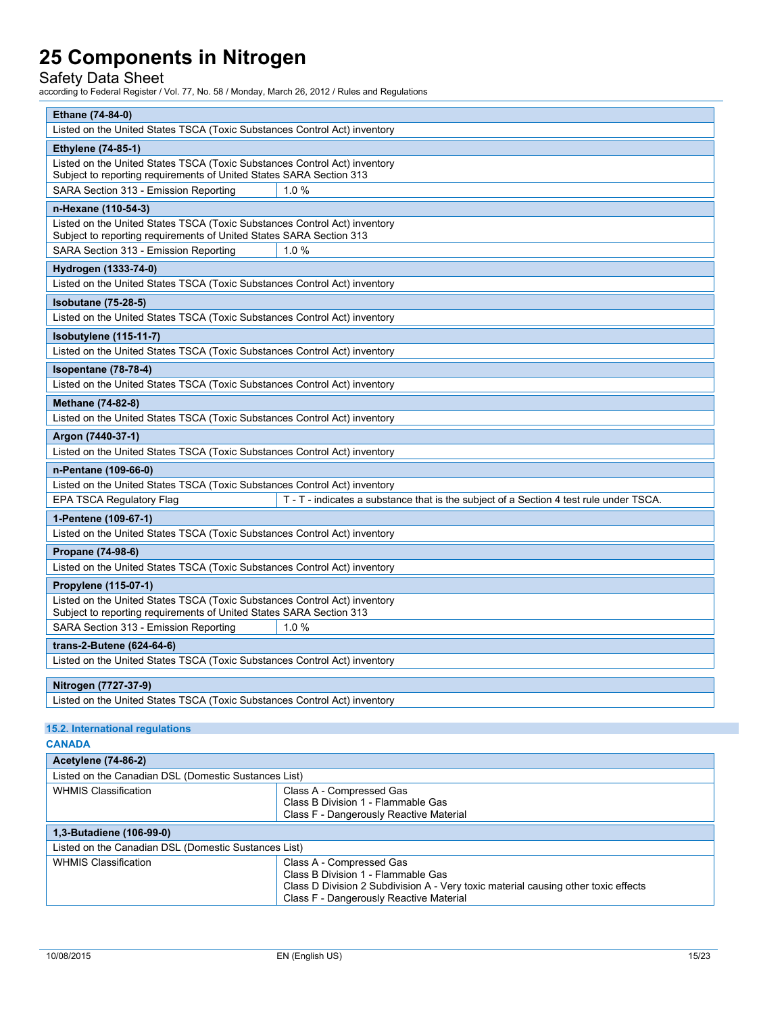### Safety Data Sheet

according to Federal Register / Vol. 77, No. 58 / Monday, March 26, 2012 / Rules and Regulations

| Ethane (74-84-0)                                                                                                                                 |  |  |  |
|--------------------------------------------------------------------------------------------------------------------------------------------------|--|--|--|
| Listed on the United States TSCA (Toxic Substances Control Act) inventory                                                                        |  |  |  |
| <b>Ethylene (74-85-1)</b>                                                                                                                        |  |  |  |
| Listed on the United States TSCA (Toxic Substances Control Act) inventory<br>Subject to reporting requirements of United States SARA Section 313 |  |  |  |
| 1.0%<br>SARA Section 313 - Emission Reporting                                                                                                    |  |  |  |
| n-Hexane (110-54-3)                                                                                                                              |  |  |  |
| Listed on the United States TSCA (Toxic Substances Control Act) inventory<br>Subject to reporting requirements of United States SARA Section 313 |  |  |  |
| SARA Section 313 - Emission Reporting<br>1.0%                                                                                                    |  |  |  |
| Hydrogen (1333-74-0)                                                                                                                             |  |  |  |
| Listed on the United States TSCA (Toxic Substances Control Act) inventory                                                                        |  |  |  |
| <b>Isobutane (75-28-5)</b>                                                                                                                       |  |  |  |
| Listed on the United States TSCA (Toxic Substances Control Act) inventory                                                                        |  |  |  |
| Isobutylene (115-11-7)                                                                                                                           |  |  |  |
| Listed on the United States TSCA (Toxic Substances Control Act) inventory                                                                        |  |  |  |
| Isopentane (78-78-4)                                                                                                                             |  |  |  |
| Listed on the United States TSCA (Toxic Substances Control Act) inventory                                                                        |  |  |  |
| <b>Methane (74-82-8)</b>                                                                                                                         |  |  |  |
| Listed on the United States TSCA (Toxic Substances Control Act) inventory                                                                        |  |  |  |
| Argon (7440-37-1)                                                                                                                                |  |  |  |
| Listed on the United States TSCA (Toxic Substances Control Act) inventory                                                                        |  |  |  |
| n-Pentane (109-66-0)                                                                                                                             |  |  |  |
| Listed on the United States TSCA (Toxic Substances Control Act) inventory                                                                        |  |  |  |
| EPA TSCA Regulatory Flag<br>T - T - indicates a substance that is the subject of a Section 4 test rule under TSCA.                               |  |  |  |
| 1-Pentene (109-67-1)                                                                                                                             |  |  |  |
| Listed on the United States TSCA (Toxic Substances Control Act) inventory                                                                        |  |  |  |
| Propane (74-98-6)                                                                                                                                |  |  |  |
| Listed on the United States TSCA (Toxic Substances Control Act) inventory                                                                        |  |  |  |
| Propylene (115-07-1)                                                                                                                             |  |  |  |
| Listed on the United States TSCA (Toxic Substances Control Act) inventory<br>Subject to reporting requirements of United States SARA Section 313 |  |  |  |
| SARA Section 313 - Emission Reporting<br>1.0%                                                                                                    |  |  |  |
| trans-2-Butene (624-64-6)                                                                                                                        |  |  |  |
| Listed on the United States TSCA (Toxic Substances Control Act) inventory                                                                        |  |  |  |
| Nitrogen (7727-37-9)                                                                                                                             |  |  |  |
| Listed on the United States TSCA (Toxic Substances Control Act) inventory                                                                        |  |  |  |

#### **15.2. International regulations**

**CANADA**

| <b>Acetylene (74-86-2)</b>                           |                                                                                                                                                                                                 |  |  |  |
|------------------------------------------------------|-------------------------------------------------------------------------------------------------------------------------------------------------------------------------------------------------|--|--|--|
| Listed on the Canadian DSL (Domestic Sustances List) |                                                                                                                                                                                                 |  |  |  |
| <b>WHMIS Classification</b>                          | Class A - Compressed Gas<br>Class B Division 1 - Flammable Gas<br>Class F - Dangerously Reactive Material                                                                                       |  |  |  |
| 1,3-Butadiene (106-99-0)                             |                                                                                                                                                                                                 |  |  |  |
| Listed on the Canadian DSL (Domestic Sustances List) |                                                                                                                                                                                                 |  |  |  |
| <b>WHMIS Classification</b>                          | Class A - Compressed Gas<br>Class B Division 1 - Flammable Gas<br>Class D Division 2 Subdivision A - Very toxic material causing other toxic effects<br>Class F - Dangerously Reactive Material |  |  |  |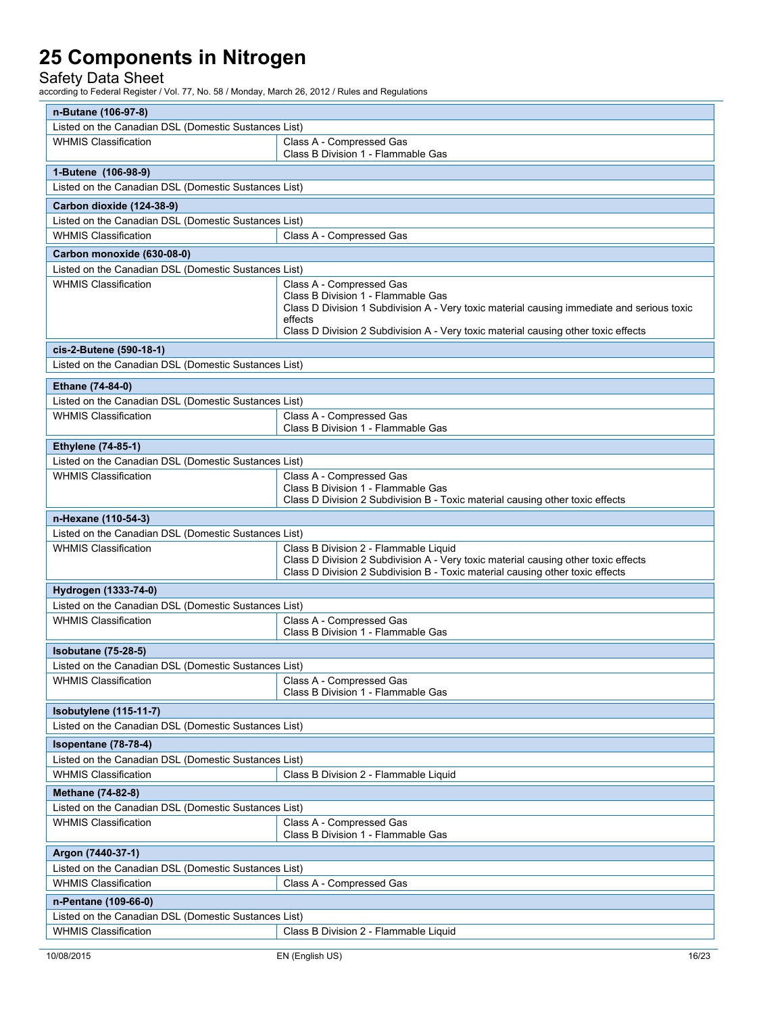### Safety Data Sheet

| n-Butane (106-97-8)                                                                 |                                                                                                                                                                                                                                                               |  |  |  |  |
|-------------------------------------------------------------------------------------|---------------------------------------------------------------------------------------------------------------------------------------------------------------------------------------------------------------------------------------------------------------|--|--|--|--|
| Listed on the Canadian DSL (Domestic Sustances List)                                |                                                                                                                                                                                                                                                               |  |  |  |  |
| <b>WHMIS Classification</b>                                                         | Class A - Compressed Gas<br>Class B Division 1 - Flammable Gas                                                                                                                                                                                                |  |  |  |  |
| 1-Butene (106-98-9)                                                                 |                                                                                                                                                                                                                                                               |  |  |  |  |
| Listed on the Canadian DSL (Domestic Sustances List)                                |                                                                                                                                                                                                                                                               |  |  |  |  |
| Carbon dioxide (124-38-9)                                                           |                                                                                                                                                                                                                                                               |  |  |  |  |
| Listed on the Canadian DSL (Domestic Sustances List)                                |                                                                                                                                                                                                                                                               |  |  |  |  |
| <b>WHMIS Classification</b>                                                         | Class A - Compressed Gas                                                                                                                                                                                                                                      |  |  |  |  |
| Carbon monoxide (630-08-0)                                                          |                                                                                                                                                                                                                                                               |  |  |  |  |
| Listed on the Canadian DSL (Domestic Sustances List)                                |                                                                                                                                                                                                                                                               |  |  |  |  |
| <b>WHMIS Classification</b>                                                         | Class A - Compressed Gas<br>Class B Division 1 - Flammable Gas<br>Class D Division 1 Subdivision A - Very toxic material causing immediate and serious toxic<br>effects<br>Class D Division 2 Subdivision A - Very toxic material causing other toxic effects |  |  |  |  |
| cis-2-Butene (590-18-1)                                                             |                                                                                                                                                                                                                                                               |  |  |  |  |
| Listed on the Canadian DSL (Domestic Sustances List)                                |                                                                                                                                                                                                                                                               |  |  |  |  |
|                                                                                     |                                                                                                                                                                                                                                                               |  |  |  |  |
| Ethane (74-84-0)                                                                    |                                                                                                                                                                                                                                                               |  |  |  |  |
| Listed on the Canadian DSL (Domestic Sustances List)<br><b>WHMIS Classification</b> |                                                                                                                                                                                                                                                               |  |  |  |  |
|                                                                                     | Class A - Compressed Gas<br>Class B Division 1 - Flammable Gas                                                                                                                                                                                                |  |  |  |  |
| <b>Ethylene (74-85-1)</b>                                                           |                                                                                                                                                                                                                                                               |  |  |  |  |
| Listed on the Canadian DSL (Domestic Sustances List)                                |                                                                                                                                                                                                                                                               |  |  |  |  |
| <b>WHMIS Classification</b>                                                         | Class A - Compressed Gas                                                                                                                                                                                                                                      |  |  |  |  |
|                                                                                     | Class B Division 1 - Flammable Gas<br>Class D Division 2 Subdivision B - Toxic material causing other toxic effects                                                                                                                                           |  |  |  |  |
| n-Hexane (110-54-3)                                                                 |                                                                                                                                                                                                                                                               |  |  |  |  |
| Listed on the Canadian DSL (Domestic Sustances List)                                |                                                                                                                                                                                                                                                               |  |  |  |  |
| <b>WHMIS Classification</b>                                                         | Class B Division 2 - Flammable Liquid<br>Class D Division 2 Subdivision A - Very toxic material causing other toxic effects<br>Class D Division 2 Subdivision B - Toxic material causing other toxic effects                                                  |  |  |  |  |
| Hydrogen (1333-74-0)                                                                |                                                                                                                                                                                                                                                               |  |  |  |  |
| Listed on the Canadian DSL (Domestic Sustances List)                                |                                                                                                                                                                                                                                                               |  |  |  |  |
| <b>WHMIS Classification</b>                                                         | Class A - Compressed Gas<br>Class B Division 1 - Flammable Gas                                                                                                                                                                                                |  |  |  |  |
| <b>Isobutane (75-28-5)</b>                                                          |                                                                                                                                                                                                                                                               |  |  |  |  |
| Listed on the Canadian DSL (Domestic Sustances List)                                |                                                                                                                                                                                                                                                               |  |  |  |  |
| WHMIS Classification                                                                | Class A - Compressed Gas<br>Class B Division 1 - Flammable Gas                                                                                                                                                                                                |  |  |  |  |
| Isobutylene (115-11-7)                                                              |                                                                                                                                                                                                                                                               |  |  |  |  |
| Listed on the Canadian DSL (Domestic Sustances List)                                |                                                                                                                                                                                                                                                               |  |  |  |  |
| Isopentane (78-78-4)                                                                |                                                                                                                                                                                                                                                               |  |  |  |  |
| Listed on the Canadian DSL (Domestic Sustances List)                                |                                                                                                                                                                                                                                                               |  |  |  |  |
| <b>WHMIS Classification</b>                                                         | Class B Division 2 - Flammable Liquid                                                                                                                                                                                                                         |  |  |  |  |
| Methane (74-82-8)                                                                   |                                                                                                                                                                                                                                                               |  |  |  |  |
| Listed on the Canadian DSL (Domestic Sustances List)                                |                                                                                                                                                                                                                                                               |  |  |  |  |
| <b>WHMIS Classification</b>                                                         | Class A - Compressed Gas<br>Class B Division 1 - Flammable Gas                                                                                                                                                                                                |  |  |  |  |
| Argon (7440-37-1)                                                                   |                                                                                                                                                                                                                                                               |  |  |  |  |
| Listed on the Canadian DSL (Domestic Sustances List)                                |                                                                                                                                                                                                                                                               |  |  |  |  |
| <b>WHMIS Classification</b>                                                         | Class A - Compressed Gas                                                                                                                                                                                                                                      |  |  |  |  |
| n-Pentane (109-66-0)                                                                |                                                                                                                                                                                                                                                               |  |  |  |  |
| Listed on the Canadian DSL (Domestic Sustances List)                                |                                                                                                                                                                                                                                                               |  |  |  |  |
| <b>WHMIS Classification</b>                                                         | Class B Division 2 - Flammable Liquid                                                                                                                                                                                                                         |  |  |  |  |
|                                                                                     |                                                                                                                                                                                                                                                               |  |  |  |  |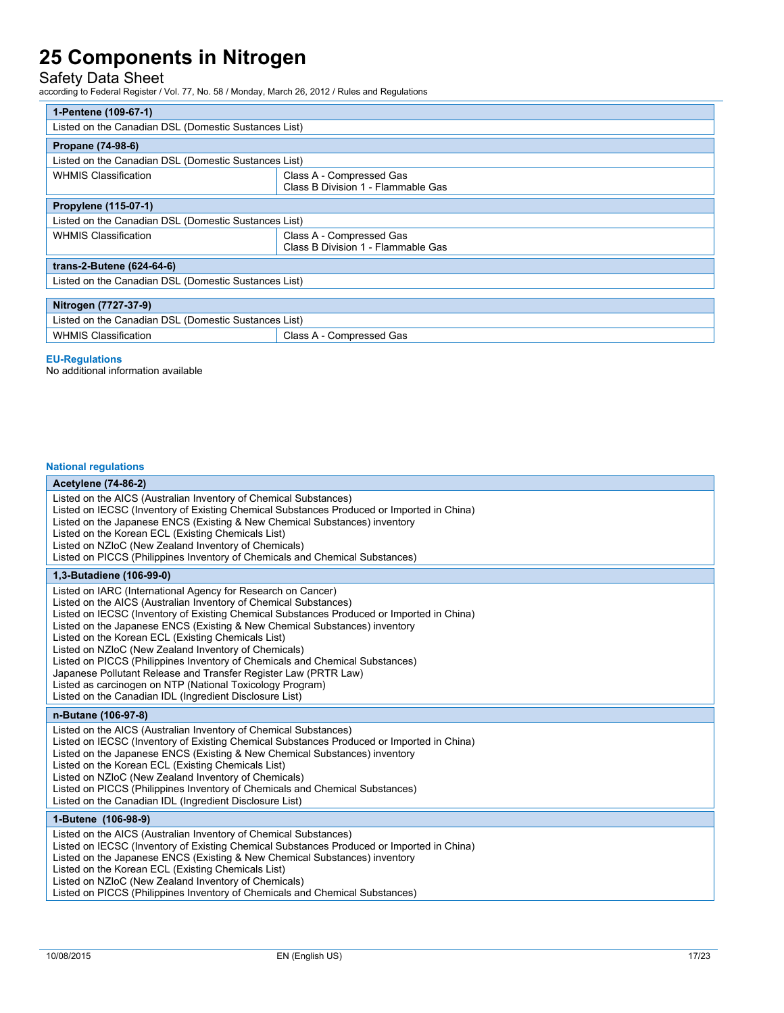### Safety Data Sheet

according to Federal Register / Vol. 77, No. 58 / Monday, March 26, 2012 / Rules and Regulations

| 1-Pentene (109-67-1)                                    |                                                                |  |  |
|---------------------------------------------------------|----------------------------------------------------------------|--|--|
| Listed on the Canadian DSL (Domestic Sustances List)    |                                                                |  |  |
| Propane (74-98-6)                                       |                                                                |  |  |
| Listed on the Canadian DSL (Domestic Sustances List)    |                                                                |  |  |
| <b>WHMIS Classification</b>                             | Class A - Compressed Gas<br>Class B Division 1 - Flammable Gas |  |  |
| Propylene (115-07-1)                                    |                                                                |  |  |
| Listed on the Canadian DSL (Domestic Sustances List)    |                                                                |  |  |
| <b>WHMIS Classification</b>                             | Class A - Compressed Gas<br>Class B Division 1 - Flammable Gas |  |  |
| trans-2-Butene (624-64-6)                               |                                                                |  |  |
| Listed on the Canadian DSL (Domestic Sustances List)    |                                                                |  |  |
|                                                         |                                                                |  |  |
| Nitrogen (7727-37-9)                                    |                                                                |  |  |
| Listed on the Canadian DSL (Domestic Sustances List)    |                                                                |  |  |
| <b>WHMIS Classification</b><br>Class A - Compressed Gas |                                                                |  |  |

#### **EU-Regulations**

No additional information available

#### **National regulations**

### **Acetylene (74-86-2)**

| $T_{\rm V}$ $T_{\rm V}$ $T_{\rm V}$ $T_{\rm V}$ $T_{\rm V}$ $T_{\rm V}$ $T_{\rm V}$                                                                                                                                                                                                                                                                                                                                                                                                                                                                                                                                                                                                                  |
|------------------------------------------------------------------------------------------------------------------------------------------------------------------------------------------------------------------------------------------------------------------------------------------------------------------------------------------------------------------------------------------------------------------------------------------------------------------------------------------------------------------------------------------------------------------------------------------------------------------------------------------------------------------------------------------------------|
| Listed on the AICS (Australian Inventory of Chemical Substances)<br>Listed on IECSC (Inventory of Existing Chemical Substances Produced or Imported in China)<br>Listed on the Japanese ENCS (Existing & New Chemical Substances) inventory<br>Listed on the Korean ECL (Existing Chemicals List)<br>Listed on NZIoC (New Zealand Inventory of Chemicals)<br>Listed on PICCS (Philippines Inventory of Chemicals and Chemical Substances)                                                                                                                                                                                                                                                            |
| 1,3-Butadiene (106-99-0)                                                                                                                                                                                                                                                                                                                                                                                                                                                                                                                                                                                                                                                                             |
| Listed on IARC (International Agency for Research on Cancer)<br>Listed on the AICS (Australian Inventory of Chemical Substances)<br>Listed on IECSC (Inventory of Existing Chemical Substances Produced or Imported in China)<br>Listed on the Japanese ENCS (Existing & New Chemical Substances) inventory<br>Listed on the Korean ECL (Existing Chemicals List)<br>Listed on NZIoC (New Zealand Inventory of Chemicals)<br>Listed on PICCS (Philippines Inventory of Chemicals and Chemical Substances)<br>Japanese Pollutant Release and Transfer Register Law (PRTR Law)<br>Listed as carcinogen on NTP (National Toxicology Program)<br>Listed on the Canadian IDL (Ingredient Disclosure List) |
| n-Butane (106-97-8)                                                                                                                                                                                                                                                                                                                                                                                                                                                                                                                                                                                                                                                                                  |
| Listed on the AICS (Australian Inventory of Chemical Substances)<br>Listed on IECSC (Inventory of Existing Chemical Substances Produced or Imported in China)<br>Listed on the Japanese ENCS (Existing & New Chemical Substances) inventory<br>Listed on the Korean ECL (Existing Chemicals List)<br>Listed on NZIoC (New Zealand Inventory of Chemicals)<br>Listed on PICCS (Philippines Inventory of Chemicals and Chemical Substances)<br>Listed on the Canadian IDL (Ingredient Disclosure List)                                                                                                                                                                                                 |
| 1-Butene (106-98-9)                                                                                                                                                                                                                                                                                                                                                                                                                                                                                                                                                                                                                                                                                  |
| Listed on the AICS (Australian Inventory of Chemical Substances)<br>Listed on IECSC (Inventory of Existing Chemical Substances Produced or Imported in China)<br>Listed on the Japanese ENCS (Existing & New Chemical Substances) inventory<br>Listed on the Korean ECL (Existing Chemicals List)<br>Listed on NZIoC (New Zealand Inventory of Chemicals)<br>Listed on PICCS (Philippines Inventory of Chemicals and Chemical Substances)                                                                                                                                                                                                                                                            |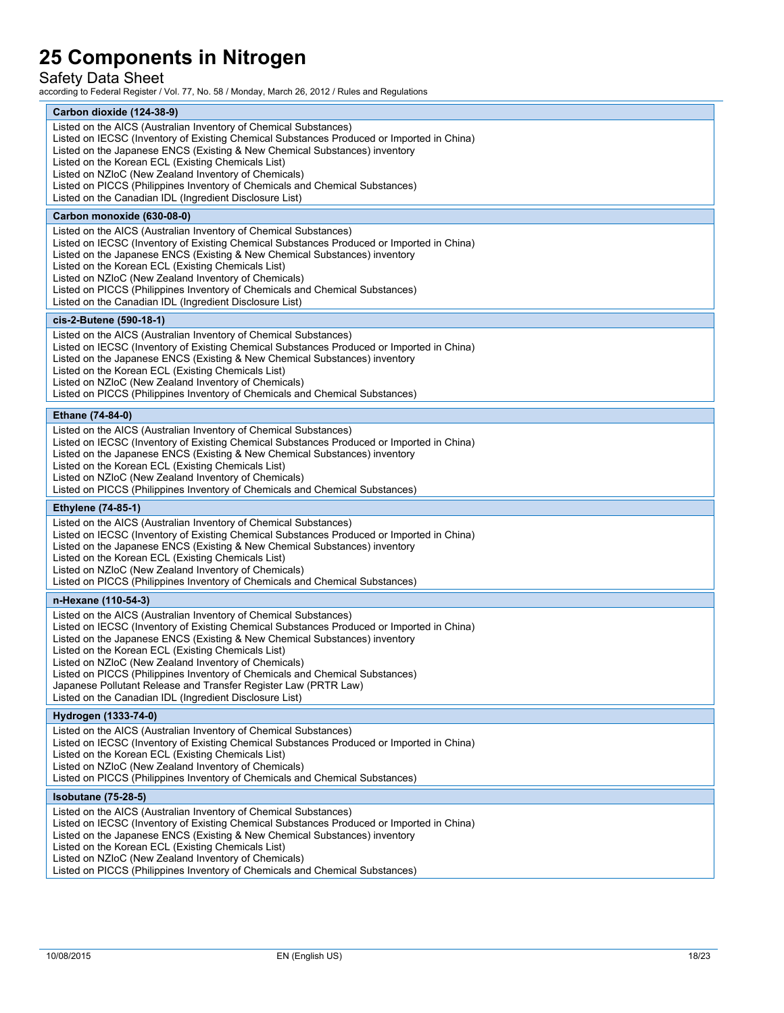### Safety Data Sheet

| Carbon dioxide (124-38-9)                                                                                                                                                                                                                                                                                                                                                                                                                                                                                                                                               |
|-------------------------------------------------------------------------------------------------------------------------------------------------------------------------------------------------------------------------------------------------------------------------------------------------------------------------------------------------------------------------------------------------------------------------------------------------------------------------------------------------------------------------------------------------------------------------|
| Listed on the AICS (Australian Inventory of Chemical Substances)<br>Listed on IECSC (Inventory of Existing Chemical Substances Produced or Imported in China)<br>Listed on the Japanese ENCS (Existing & New Chemical Substances) inventory<br>Listed on the Korean ECL (Existing Chemicals List)<br>Listed on NZIoC (New Zealand Inventory of Chemicals)<br>Listed on PICCS (Philippines Inventory of Chemicals and Chemical Substances)<br>Listed on the Canadian IDL (Ingredient Disclosure List)                                                                    |
| Carbon monoxide (630-08-0)                                                                                                                                                                                                                                                                                                                                                                                                                                                                                                                                              |
| Listed on the AICS (Australian Inventory of Chemical Substances)<br>Listed on IECSC (Inventory of Existing Chemical Substances Produced or Imported in China)<br>Listed on the Japanese ENCS (Existing & New Chemical Substances) inventory<br>Listed on the Korean ECL (Existing Chemicals List)<br>Listed on NZIoC (New Zealand Inventory of Chemicals)<br>Listed on PICCS (Philippines Inventory of Chemicals and Chemical Substances)<br>Listed on the Canadian IDL (Ingredient Disclosure List)                                                                    |
| cis-2-Butene (590-18-1)                                                                                                                                                                                                                                                                                                                                                                                                                                                                                                                                                 |
| Listed on the AICS (Australian Inventory of Chemical Substances)<br>Listed on IECSC (Inventory of Existing Chemical Substances Produced or Imported in China)<br>Listed on the Japanese ENCS (Existing & New Chemical Substances) inventory<br>Listed on the Korean ECL (Existing Chemicals List)<br>Listed on NZIoC (New Zealand Inventory of Chemicals)<br>Listed on PICCS (Philippines Inventory of Chemicals and Chemical Substances)                                                                                                                               |
| Ethane (74-84-0)                                                                                                                                                                                                                                                                                                                                                                                                                                                                                                                                                        |
| Listed on the AICS (Australian Inventory of Chemical Substances)<br>Listed on IECSC (Inventory of Existing Chemical Substances Produced or Imported in China)<br>Listed on the Japanese ENCS (Existing & New Chemical Substances) inventory<br>Listed on the Korean ECL (Existing Chemicals List)<br>Listed on NZIoC (New Zealand Inventory of Chemicals)<br>Listed on PICCS (Philippines Inventory of Chemicals and Chemical Substances)                                                                                                                               |
| <b>Ethylene (74-85-1)</b>                                                                                                                                                                                                                                                                                                                                                                                                                                                                                                                                               |
| Listed on the AICS (Australian Inventory of Chemical Substances)<br>Listed on IECSC (Inventory of Existing Chemical Substances Produced or Imported in China)<br>Listed on the Japanese ENCS (Existing & New Chemical Substances) inventory<br>Listed on the Korean ECL (Existing Chemicals List)<br>Listed on NZIoC (New Zealand Inventory of Chemicals)<br>Listed on PICCS (Philippines Inventory of Chemicals and Chemical Substances)                                                                                                                               |
| n-Hexane (110-54-3)                                                                                                                                                                                                                                                                                                                                                                                                                                                                                                                                                     |
| Listed on the AICS (Australian Inventory of Chemical Substances)<br>Listed on IECSC (Inventory of Existing Chemical Substances Produced or Imported in China)<br>Listed on the Japanese ENCS (Existing & New Chemical Substances) inventory<br>Listed on the Korean ECL (Existing Chemicals List)<br>Listed on NZIoC (New Zealand Inventory of Chemicals)<br>Listed on PICCS (Philippines Inventory of Chemicals and Chemical Substances)<br>Japanese Pollutant Release and Transfer Register Law (PRTR Law)<br>Listed on the Canadian IDL (Ingredient Disclosure List) |
| Hydrogen (1333-74-0)                                                                                                                                                                                                                                                                                                                                                                                                                                                                                                                                                    |
| Listed on the AICS (Australian Inventory of Chemical Substances)<br>Listed on IECSC (Inventory of Existing Chemical Substances Produced or Imported in China)<br>Listed on the Korean ECL (Existing Chemicals List)<br>Listed on NZIoC (New Zealand Inventory of Chemicals)<br>Listed on PICCS (Philippines Inventory of Chemicals and Chemical Substances)                                                                                                                                                                                                             |
| <b>Isobutane (75-28-5)</b>                                                                                                                                                                                                                                                                                                                                                                                                                                                                                                                                              |
| Listed on the AICS (Australian Inventory of Chemical Substances)<br>Listed on IECSC (Inventory of Existing Chemical Substances Produced or Imported in China)<br>Listed on the Japanese ENCS (Existing & New Chemical Substances) inventory<br>Listed on the Korean ECL (Existing Chemicals List)<br>Listed on NZIoC (New Zealand Inventory of Chemicals)<br>Listed on PICCS (Philippines Inventory of Chemicals and Chemical Substances)                                                                                                                               |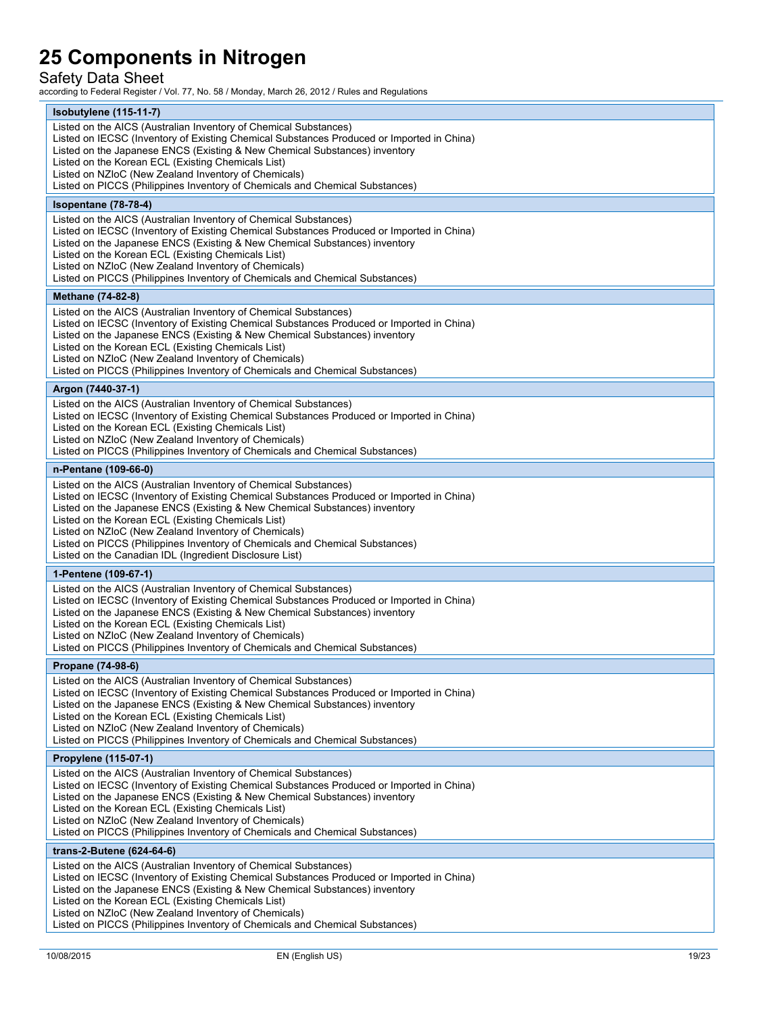### Safety Data Sheet

| $Isobutylene(115-11-7)$<br>Listed on the AICS (Australian Inventory of Chemical Substances)<br>Listed on IECSC (Inventory of Existing Chemical Substances Produced or Imported in China)<br>Listed on the Japanese ENCS (Existing & New Chemical Substances) inventory<br>Listed on the Korean ECL (Existing Chemicals List)<br>Listed on NZIoC (New Zealand Inventory of Chemicals)<br>Listed on PICCS (Philippines Inventory of Chemicals and Chemical Substances)<br>Isopentane (78-78-4)<br>Listed on the AICS (Australian Inventory of Chemical Substances)<br>Listed on IECSC (Inventory of Existing Chemical Substances Produced or Imported in China)<br>Listed on the Japanese ENCS (Existing & New Chemical Substances) inventory<br>Listed on the Korean ECL (Existing Chemicals List)<br>Listed on NZIoC (New Zealand Inventory of Chemicals)<br>Listed on PICCS (Philippines Inventory of Chemicals and Chemical Substances)<br>Methane (74-82-8)<br>Listed on the AICS (Australian Inventory of Chemical Substances)<br>Listed on IECSC (Inventory of Existing Chemical Substances Produced or Imported in China)<br>Listed on the Japanese ENCS (Existing & New Chemical Substances) inventory<br>Listed on the Korean ECL (Existing Chemicals List)<br>Listed on NZIoC (New Zealand Inventory of Chemicals)<br>Listed on PICCS (Philippines Inventory of Chemicals and Chemical Substances)<br>Argon (7440-37-1)<br>Listed on the AICS (Australian Inventory of Chemical Substances)<br>Listed on IECSC (Inventory of Existing Chemical Substances Produced or Imported in China)<br>Listed on the Korean ECL (Existing Chemicals List)<br>Listed on NZIoC (New Zealand Inventory of Chemicals)<br>Listed on PICCS (Philippines Inventory of Chemicals and Chemical Substances)<br>n-Pentane (109-66-0)<br>Listed on the AICS (Australian Inventory of Chemical Substances)<br>Listed on IECSC (Inventory of Existing Chemical Substances Produced or Imported in China)<br>Listed on the Japanese ENCS (Existing & New Chemical Substances) inventory<br>Listed on the Korean ECL (Existing Chemicals List)<br>Listed on NZIoC (New Zealand Inventory of Chemicals)<br>Listed on PICCS (Philippines Inventory of Chemicals and Chemical Substances)<br>Listed on the Canadian IDL (Ingredient Disclosure List)<br>1-Pentene (109-67-1)<br>Listed on the AICS (Australian Inventory of Chemical Substances)<br>Listed on IECSC (Inventory of Existing Chemical Substances Produced or Imported in China)<br>Listed on the Japanese ENCS (Existing & New Chemical Substances) inventory<br>Listed on the Korean ECL (Existing Chemicals List)<br>Listed on NZIoC (New Zealand Inventory of Chemicals)<br>Listed on PICCS (Philippines Inventory of Chemicals and Chemical Substances)<br>Propane (74-98-6)<br>Listed on the AICS (Australian Inventory of Chemical Substances)<br>Listed on IECSC (Inventory of Existing Chemical Substances Produced or Imported in China)<br>Listed on the Japanese ENCS (Existing & New Chemical Substances) inventory<br>Listed on the Korean ECL (Existing Chemicals List)<br>Listed on NZIoC (New Zealand Inventory of Chemicals)<br>Listed on PICCS (Philippines Inventory of Chemicals and Chemical Substances)<br>Propylene (115-07-1)<br>Listed on the AICS (Australian Inventory of Chemical Substances)<br>Listed on IECSC (Inventory of Existing Chemical Substances Produced or Imported in China)<br>Listed on the Japanese ENCS (Existing & New Chemical Substances) inventory<br>Listed on the Korean ECL (Existing Chemicals List)<br>Listed on NZIoC (New Zealand Inventory of Chemicals)<br>Listed on PICCS (Philippines Inventory of Chemicals and Chemical Substances)<br>trans-2-Butene (624-64-6)<br>Listed on the AICS (Australian Inventory of Chemical Substances)<br>Listed on IECSC (Inventory of Existing Chemical Substances Produced or Imported in China)<br>Listed on the Japanese ENCS (Existing & New Chemical Substances) inventory<br>Listed on the Korean ECL (Existing Chemicals List)<br>Listed on NZIoC (New Zealand Inventory of Chemicals)<br>Listed on PICCS (Philippines Inventory of Chemicals and Chemical Substances) |  |
|-----------------------------------------------------------------------------------------------------------------------------------------------------------------------------------------------------------------------------------------------------------------------------------------------------------------------------------------------------------------------------------------------------------------------------------------------------------------------------------------------------------------------------------------------------------------------------------------------------------------------------------------------------------------------------------------------------------------------------------------------------------------------------------------------------------------------------------------------------------------------------------------------------------------------------------------------------------------------------------------------------------------------------------------------------------------------------------------------------------------------------------------------------------------------------------------------------------------------------------------------------------------------------------------------------------------------------------------------------------------------------------------------------------------------------------------------------------------------------------------------------------------------------------------------------------------------------------------------------------------------------------------------------------------------------------------------------------------------------------------------------------------------------------------------------------------------------------------------------------------------------------------------------------------------------------------------------------------------------------------------------------------------------------------------------------------------------------------------------------------------------------------------------------------------------------------------------------------------------------------------------------------------------------------------------------------------------------------------------------------------------------------------------------------------------------------------------------------------------------------------------------------------------------------------------------------------------------------------------------------------------------------------------------------------------------------------------------------------------------------------------------------------------------------------------------------------------------------------------------------------------------------------------------------------------------------------------------------------------------------------------------------------------------------------------------------------------------------------------------------------------------------------------------------------------------------------------------------------------------------------------------------------------------------------------------------------------------------------------------------------------------------------------------------------------------------------------------------------------------------------------------------------------------------------------------------------------------------------------------------------------------------------------------------------------------------------------------------------------------------------------------------------------------------------------------------------------------------------------------------------------------------------------------------------------------------------------------------------------------------------------------------------------------------------------------------------------------------------------------------------------------------------------------------------------------------------------------------------|--|
|                                                                                                                                                                                                                                                                                                                                                                                                                                                                                                                                                                                                                                                                                                                                                                                                                                                                                                                                                                                                                                                                                                                                                                                                                                                                                                                                                                                                                                                                                                                                                                                                                                                                                                                                                                                                                                                                                                                                                                                                                                                                                                                                                                                                                                                                                                                                                                                                                                                                                                                                                                                                                                                                                                                                                                                                                                                                                                                                                                                                                                                                                                                                                                                                                                                                                                                                                                                                                                                                                                                                                                                                                                                                                                                                                                                                                                                                                                                                                                                                                                                                                                                                                                                                                       |  |
|                                                                                                                                                                                                                                                                                                                                                                                                                                                                                                                                                                                                                                                                                                                                                                                                                                                                                                                                                                                                                                                                                                                                                                                                                                                                                                                                                                                                                                                                                                                                                                                                                                                                                                                                                                                                                                                                                                                                                                                                                                                                                                                                                                                                                                                                                                                                                                                                                                                                                                                                                                                                                                                                                                                                                                                                                                                                                                                                                                                                                                                                                                                                                                                                                                                                                                                                                                                                                                                                                                                                                                                                                                                                                                                                                                                                                                                                                                                                                                                                                                                                                                                                                                                                                       |  |
|                                                                                                                                                                                                                                                                                                                                                                                                                                                                                                                                                                                                                                                                                                                                                                                                                                                                                                                                                                                                                                                                                                                                                                                                                                                                                                                                                                                                                                                                                                                                                                                                                                                                                                                                                                                                                                                                                                                                                                                                                                                                                                                                                                                                                                                                                                                                                                                                                                                                                                                                                                                                                                                                                                                                                                                                                                                                                                                                                                                                                                                                                                                                                                                                                                                                                                                                                                                                                                                                                                                                                                                                                                                                                                                                                                                                                                                                                                                                                                                                                                                                                                                                                                                                                       |  |
|                                                                                                                                                                                                                                                                                                                                                                                                                                                                                                                                                                                                                                                                                                                                                                                                                                                                                                                                                                                                                                                                                                                                                                                                                                                                                                                                                                                                                                                                                                                                                                                                                                                                                                                                                                                                                                                                                                                                                                                                                                                                                                                                                                                                                                                                                                                                                                                                                                                                                                                                                                                                                                                                                                                                                                                                                                                                                                                                                                                                                                                                                                                                                                                                                                                                                                                                                                                                                                                                                                                                                                                                                                                                                                                                                                                                                                                                                                                                                                                                                                                                                                                                                                                                                       |  |
|                                                                                                                                                                                                                                                                                                                                                                                                                                                                                                                                                                                                                                                                                                                                                                                                                                                                                                                                                                                                                                                                                                                                                                                                                                                                                                                                                                                                                                                                                                                                                                                                                                                                                                                                                                                                                                                                                                                                                                                                                                                                                                                                                                                                                                                                                                                                                                                                                                                                                                                                                                                                                                                                                                                                                                                                                                                                                                                                                                                                                                                                                                                                                                                                                                                                                                                                                                                                                                                                                                                                                                                                                                                                                                                                                                                                                                                                                                                                                                                                                                                                                                                                                                                                                       |  |
|                                                                                                                                                                                                                                                                                                                                                                                                                                                                                                                                                                                                                                                                                                                                                                                                                                                                                                                                                                                                                                                                                                                                                                                                                                                                                                                                                                                                                                                                                                                                                                                                                                                                                                                                                                                                                                                                                                                                                                                                                                                                                                                                                                                                                                                                                                                                                                                                                                                                                                                                                                                                                                                                                                                                                                                                                                                                                                                                                                                                                                                                                                                                                                                                                                                                                                                                                                                                                                                                                                                                                                                                                                                                                                                                                                                                                                                                                                                                                                                                                                                                                                                                                                                                                       |  |
|                                                                                                                                                                                                                                                                                                                                                                                                                                                                                                                                                                                                                                                                                                                                                                                                                                                                                                                                                                                                                                                                                                                                                                                                                                                                                                                                                                                                                                                                                                                                                                                                                                                                                                                                                                                                                                                                                                                                                                                                                                                                                                                                                                                                                                                                                                                                                                                                                                                                                                                                                                                                                                                                                                                                                                                                                                                                                                                                                                                                                                                                                                                                                                                                                                                                                                                                                                                                                                                                                                                                                                                                                                                                                                                                                                                                                                                                                                                                                                                                                                                                                                                                                                                                                       |  |
|                                                                                                                                                                                                                                                                                                                                                                                                                                                                                                                                                                                                                                                                                                                                                                                                                                                                                                                                                                                                                                                                                                                                                                                                                                                                                                                                                                                                                                                                                                                                                                                                                                                                                                                                                                                                                                                                                                                                                                                                                                                                                                                                                                                                                                                                                                                                                                                                                                                                                                                                                                                                                                                                                                                                                                                                                                                                                                                                                                                                                                                                                                                                                                                                                                                                                                                                                                                                                                                                                                                                                                                                                                                                                                                                                                                                                                                                                                                                                                                                                                                                                                                                                                                                                       |  |
|                                                                                                                                                                                                                                                                                                                                                                                                                                                                                                                                                                                                                                                                                                                                                                                                                                                                                                                                                                                                                                                                                                                                                                                                                                                                                                                                                                                                                                                                                                                                                                                                                                                                                                                                                                                                                                                                                                                                                                                                                                                                                                                                                                                                                                                                                                                                                                                                                                                                                                                                                                                                                                                                                                                                                                                                                                                                                                                                                                                                                                                                                                                                                                                                                                                                                                                                                                                                                                                                                                                                                                                                                                                                                                                                                                                                                                                                                                                                                                                                                                                                                                                                                                                                                       |  |
|                                                                                                                                                                                                                                                                                                                                                                                                                                                                                                                                                                                                                                                                                                                                                                                                                                                                                                                                                                                                                                                                                                                                                                                                                                                                                                                                                                                                                                                                                                                                                                                                                                                                                                                                                                                                                                                                                                                                                                                                                                                                                                                                                                                                                                                                                                                                                                                                                                                                                                                                                                                                                                                                                                                                                                                                                                                                                                                                                                                                                                                                                                                                                                                                                                                                                                                                                                                                                                                                                                                                                                                                                                                                                                                                                                                                                                                                                                                                                                                                                                                                                                                                                                                                                       |  |
|                                                                                                                                                                                                                                                                                                                                                                                                                                                                                                                                                                                                                                                                                                                                                                                                                                                                                                                                                                                                                                                                                                                                                                                                                                                                                                                                                                                                                                                                                                                                                                                                                                                                                                                                                                                                                                                                                                                                                                                                                                                                                                                                                                                                                                                                                                                                                                                                                                                                                                                                                                                                                                                                                                                                                                                                                                                                                                                                                                                                                                                                                                                                                                                                                                                                                                                                                                                                                                                                                                                                                                                                                                                                                                                                                                                                                                                                                                                                                                                                                                                                                                                                                                                                                       |  |
|                                                                                                                                                                                                                                                                                                                                                                                                                                                                                                                                                                                                                                                                                                                                                                                                                                                                                                                                                                                                                                                                                                                                                                                                                                                                                                                                                                                                                                                                                                                                                                                                                                                                                                                                                                                                                                                                                                                                                                                                                                                                                                                                                                                                                                                                                                                                                                                                                                                                                                                                                                                                                                                                                                                                                                                                                                                                                                                                                                                                                                                                                                                                                                                                                                                                                                                                                                                                                                                                                                                                                                                                                                                                                                                                                                                                                                                                                                                                                                                                                                                                                                                                                                                                                       |  |
|                                                                                                                                                                                                                                                                                                                                                                                                                                                                                                                                                                                                                                                                                                                                                                                                                                                                                                                                                                                                                                                                                                                                                                                                                                                                                                                                                                                                                                                                                                                                                                                                                                                                                                                                                                                                                                                                                                                                                                                                                                                                                                                                                                                                                                                                                                                                                                                                                                                                                                                                                                                                                                                                                                                                                                                                                                                                                                                                                                                                                                                                                                                                                                                                                                                                                                                                                                                                                                                                                                                                                                                                                                                                                                                                                                                                                                                                                                                                                                                                                                                                                                                                                                                                                       |  |
|                                                                                                                                                                                                                                                                                                                                                                                                                                                                                                                                                                                                                                                                                                                                                                                                                                                                                                                                                                                                                                                                                                                                                                                                                                                                                                                                                                                                                                                                                                                                                                                                                                                                                                                                                                                                                                                                                                                                                                                                                                                                                                                                                                                                                                                                                                                                                                                                                                                                                                                                                                                                                                                                                                                                                                                                                                                                                                                                                                                                                                                                                                                                                                                                                                                                                                                                                                                                                                                                                                                                                                                                                                                                                                                                                                                                                                                                                                                                                                                                                                                                                                                                                                                                                       |  |
|                                                                                                                                                                                                                                                                                                                                                                                                                                                                                                                                                                                                                                                                                                                                                                                                                                                                                                                                                                                                                                                                                                                                                                                                                                                                                                                                                                                                                                                                                                                                                                                                                                                                                                                                                                                                                                                                                                                                                                                                                                                                                                                                                                                                                                                                                                                                                                                                                                                                                                                                                                                                                                                                                                                                                                                                                                                                                                                                                                                                                                                                                                                                                                                                                                                                                                                                                                                                                                                                                                                                                                                                                                                                                                                                                                                                                                                                                                                                                                                                                                                                                                                                                                                                                       |  |
|                                                                                                                                                                                                                                                                                                                                                                                                                                                                                                                                                                                                                                                                                                                                                                                                                                                                                                                                                                                                                                                                                                                                                                                                                                                                                                                                                                                                                                                                                                                                                                                                                                                                                                                                                                                                                                                                                                                                                                                                                                                                                                                                                                                                                                                                                                                                                                                                                                                                                                                                                                                                                                                                                                                                                                                                                                                                                                                                                                                                                                                                                                                                                                                                                                                                                                                                                                                                                                                                                                                                                                                                                                                                                                                                                                                                                                                                                                                                                                                                                                                                                                                                                                                                                       |  |
|                                                                                                                                                                                                                                                                                                                                                                                                                                                                                                                                                                                                                                                                                                                                                                                                                                                                                                                                                                                                                                                                                                                                                                                                                                                                                                                                                                                                                                                                                                                                                                                                                                                                                                                                                                                                                                                                                                                                                                                                                                                                                                                                                                                                                                                                                                                                                                                                                                                                                                                                                                                                                                                                                                                                                                                                                                                                                                                                                                                                                                                                                                                                                                                                                                                                                                                                                                                                                                                                                                                                                                                                                                                                                                                                                                                                                                                                                                                                                                                                                                                                                                                                                                                                                       |  |
|                                                                                                                                                                                                                                                                                                                                                                                                                                                                                                                                                                                                                                                                                                                                                                                                                                                                                                                                                                                                                                                                                                                                                                                                                                                                                                                                                                                                                                                                                                                                                                                                                                                                                                                                                                                                                                                                                                                                                                                                                                                                                                                                                                                                                                                                                                                                                                                                                                                                                                                                                                                                                                                                                                                                                                                                                                                                                                                                                                                                                                                                                                                                                                                                                                                                                                                                                                                                                                                                                                                                                                                                                                                                                                                                                                                                                                                                                                                                                                                                                                                                                                                                                                                                                       |  |
|                                                                                                                                                                                                                                                                                                                                                                                                                                                                                                                                                                                                                                                                                                                                                                                                                                                                                                                                                                                                                                                                                                                                                                                                                                                                                                                                                                                                                                                                                                                                                                                                                                                                                                                                                                                                                                                                                                                                                                                                                                                                                                                                                                                                                                                                                                                                                                                                                                                                                                                                                                                                                                                                                                                                                                                                                                                                                                                                                                                                                                                                                                                                                                                                                                                                                                                                                                                                                                                                                                                                                                                                                                                                                                                                                                                                                                                                                                                                                                                                                                                                                                                                                                                                                       |  |
|                                                                                                                                                                                                                                                                                                                                                                                                                                                                                                                                                                                                                                                                                                                                                                                                                                                                                                                                                                                                                                                                                                                                                                                                                                                                                                                                                                                                                                                                                                                                                                                                                                                                                                                                                                                                                                                                                                                                                                                                                                                                                                                                                                                                                                                                                                                                                                                                                                                                                                                                                                                                                                                                                                                                                                                                                                                                                                                                                                                                                                                                                                                                                                                                                                                                                                                                                                                                                                                                                                                                                                                                                                                                                                                                                                                                                                                                                                                                                                                                                                                                                                                                                                                                                       |  |
|                                                                                                                                                                                                                                                                                                                                                                                                                                                                                                                                                                                                                                                                                                                                                                                                                                                                                                                                                                                                                                                                                                                                                                                                                                                                                                                                                                                                                                                                                                                                                                                                                                                                                                                                                                                                                                                                                                                                                                                                                                                                                                                                                                                                                                                                                                                                                                                                                                                                                                                                                                                                                                                                                                                                                                                                                                                                                                                                                                                                                                                                                                                                                                                                                                                                                                                                                                                                                                                                                                                                                                                                                                                                                                                                                                                                                                                                                                                                                                                                                                                                                                                                                                                                                       |  |
|                                                                                                                                                                                                                                                                                                                                                                                                                                                                                                                                                                                                                                                                                                                                                                                                                                                                                                                                                                                                                                                                                                                                                                                                                                                                                                                                                                                                                                                                                                                                                                                                                                                                                                                                                                                                                                                                                                                                                                                                                                                                                                                                                                                                                                                                                                                                                                                                                                                                                                                                                                                                                                                                                                                                                                                                                                                                                                                                                                                                                                                                                                                                                                                                                                                                                                                                                                                                                                                                                                                                                                                                                                                                                                                                                                                                                                                                                                                                                                                                                                                                                                                                                                                                                       |  |
|                                                                                                                                                                                                                                                                                                                                                                                                                                                                                                                                                                                                                                                                                                                                                                                                                                                                                                                                                                                                                                                                                                                                                                                                                                                                                                                                                                                                                                                                                                                                                                                                                                                                                                                                                                                                                                                                                                                                                                                                                                                                                                                                                                                                                                                                                                                                                                                                                                                                                                                                                                                                                                                                                                                                                                                                                                                                                                                                                                                                                                                                                                                                                                                                                                                                                                                                                                                                                                                                                                                                                                                                                                                                                                                                                                                                                                                                                                                                                                                                                                                                                                                                                                                                                       |  |
|                                                                                                                                                                                                                                                                                                                                                                                                                                                                                                                                                                                                                                                                                                                                                                                                                                                                                                                                                                                                                                                                                                                                                                                                                                                                                                                                                                                                                                                                                                                                                                                                                                                                                                                                                                                                                                                                                                                                                                                                                                                                                                                                                                                                                                                                                                                                                                                                                                                                                                                                                                                                                                                                                                                                                                                                                                                                                                                                                                                                                                                                                                                                                                                                                                                                                                                                                                                                                                                                                                                                                                                                                                                                                                                                                                                                                                                                                                                                                                                                                                                                                                                                                                                                                       |  |
|                                                                                                                                                                                                                                                                                                                                                                                                                                                                                                                                                                                                                                                                                                                                                                                                                                                                                                                                                                                                                                                                                                                                                                                                                                                                                                                                                                                                                                                                                                                                                                                                                                                                                                                                                                                                                                                                                                                                                                                                                                                                                                                                                                                                                                                                                                                                                                                                                                                                                                                                                                                                                                                                                                                                                                                                                                                                                                                                                                                                                                                                                                                                                                                                                                                                                                                                                                                                                                                                                                                                                                                                                                                                                                                                                                                                                                                                                                                                                                                                                                                                                                                                                                                                                       |  |
|                                                                                                                                                                                                                                                                                                                                                                                                                                                                                                                                                                                                                                                                                                                                                                                                                                                                                                                                                                                                                                                                                                                                                                                                                                                                                                                                                                                                                                                                                                                                                                                                                                                                                                                                                                                                                                                                                                                                                                                                                                                                                                                                                                                                                                                                                                                                                                                                                                                                                                                                                                                                                                                                                                                                                                                                                                                                                                                                                                                                                                                                                                                                                                                                                                                                                                                                                                                                                                                                                                                                                                                                                                                                                                                                                                                                                                                                                                                                                                                                                                                                                                                                                                                                                       |  |
|                                                                                                                                                                                                                                                                                                                                                                                                                                                                                                                                                                                                                                                                                                                                                                                                                                                                                                                                                                                                                                                                                                                                                                                                                                                                                                                                                                                                                                                                                                                                                                                                                                                                                                                                                                                                                                                                                                                                                                                                                                                                                                                                                                                                                                                                                                                                                                                                                                                                                                                                                                                                                                                                                                                                                                                                                                                                                                                                                                                                                                                                                                                                                                                                                                                                                                                                                                                                                                                                                                                                                                                                                                                                                                                                                                                                                                                                                                                                                                                                                                                                                                                                                                                                                       |  |
|                                                                                                                                                                                                                                                                                                                                                                                                                                                                                                                                                                                                                                                                                                                                                                                                                                                                                                                                                                                                                                                                                                                                                                                                                                                                                                                                                                                                                                                                                                                                                                                                                                                                                                                                                                                                                                                                                                                                                                                                                                                                                                                                                                                                                                                                                                                                                                                                                                                                                                                                                                                                                                                                                                                                                                                                                                                                                                                                                                                                                                                                                                                                                                                                                                                                                                                                                                                                                                                                                                                                                                                                                                                                                                                                                                                                                                                                                                                                                                                                                                                                                                                                                                                                                       |  |
|                                                                                                                                                                                                                                                                                                                                                                                                                                                                                                                                                                                                                                                                                                                                                                                                                                                                                                                                                                                                                                                                                                                                                                                                                                                                                                                                                                                                                                                                                                                                                                                                                                                                                                                                                                                                                                                                                                                                                                                                                                                                                                                                                                                                                                                                                                                                                                                                                                                                                                                                                                                                                                                                                                                                                                                                                                                                                                                                                                                                                                                                                                                                                                                                                                                                                                                                                                                                                                                                                                                                                                                                                                                                                                                                                                                                                                                                                                                                                                                                                                                                                                                                                                                                                       |  |
|                                                                                                                                                                                                                                                                                                                                                                                                                                                                                                                                                                                                                                                                                                                                                                                                                                                                                                                                                                                                                                                                                                                                                                                                                                                                                                                                                                                                                                                                                                                                                                                                                                                                                                                                                                                                                                                                                                                                                                                                                                                                                                                                                                                                                                                                                                                                                                                                                                                                                                                                                                                                                                                                                                                                                                                                                                                                                                                                                                                                                                                                                                                                                                                                                                                                                                                                                                                                                                                                                                                                                                                                                                                                                                                                                                                                                                                                                                                                                                                                                                                                                                                                                                                                                       |  |
|                                                                                                                                                                                                                                                                                                                                                                                                                                                                                                                                                                                                                                                                                                                                                                                                                                                                                                                                                                                                                                                                                                                                                                                                                                                                                                                                                                                                                                                                                                                                                                                                                                                                                                                                                                                                                                                                                                                                                                                                                                                                                                                                                                                                                                                                                                                                                                                                                                                                                                                                                                                                                                                                                                                                                                                                                                                                                                                                                                                                                                                                                                                                                                                                                                                                                                                                                                                                                                                                                                                                                                                                                                                                                                                                                                                                                                                                                                                                                                                                                                                                                                                                                                                                                       |  |
|                                                                                                                                                                                                                                                                                                                                                                                                                                                                                                                                                                                                                                                                                                                                                                                                                                                                                                                                                                                                                                                                                                                                                                                                                                                                                                                                                                                                                                                                                                                                                                                                                                                                                                                                                                                                                                                                                                                                                                                                                                                                                                                                                                                                                                                                                                                                                                                                                                                                                                                                                                                                                                                                                                                                                                                                                                                                                                                                                                                                                                                                                                                                                                                                                                                                                                                                                                                                                                                                                                                                                                                                                                                                                                                                                                                                                                                                                                                                                                                                                                                                                                                                                                                                                       |  |
|                                                                                                                                                                                                                                                                                                                                                                                                                                                                                                                                                                                                                                                                                                                                                                                                                                                                                                                                                                                                                                                                                                                                                                                                                                                                                                                                                                                                                                                                                                                                                                                                                                                                                                                                                                                                                                                                                                                                                                                                                                                                                                                                                                                                                                                                                                                                                                                                                                                                                                                                                                                                                                                                                                                                                                                                                                                                                                                                                                                                                                                                                                                                                                                                                                                                                                                                                                                                                                                                                                                                                                                                                                                                                                                                                                                                                                                                                                                                                                                                                                                                                                                                                                                                                       |  |
|                                                                                                                                                                                                                                                                                                                                                                                                                                                                                                                                                                                                                                                                                                                                                                                                                                                                                                                                                                                                                                                                                                                                                                                                                                                                                                                                                                                                                                                                                                                                                                                                                                                                                                                                                                                                                                                                                                                                                                                                                                                                                                                                                                                                                                                                                                                                                                                                                                                                                                                                                                                                                                                                                                                                                                                                                                                                                                                                                                                                                                                                                                                                                                                                                                                                                                                                                                                                                                                                                                                                                                                                                                                                                                                                                                                                                                                                                                                                                                                                                                                                                                                                                                                                                       |  |
|                                                                                                                                                                                                                                                                                                                                                                                                                                                                                                                                                                                                                                                                                                                                                                                                                                                                                                                                                                                                                                                                                                                                                                                                                                                                                                                                                                                                                                                                                                                                                                                                                                                                                                                                                                                                                                                                                                                                                                                                                                                                                                                                                                                                                                                                                                                                                                                                                                                                                                                                                                                                                                                                                                                                                                                                                                                                                                                                                                                                                                                                                                                                                                                                                                                                                                                                                                                                                                                                                                                                                                                                                                                                                                                                                                                                                                                                                                                                                                                                                                                                                                                                                                                                                       |  |
|                                                                                                                                                                                                                                                                                                                                                                                                                                                                                                                                                                                                                                                                                                                                                                                                                                                                                                                                                                                                                                                                                                                                                                                                                                                                                                                                                                                                                                                                                                                                                                                                                                                                                                                                                                                                                                                                                                                                                                                                                                                                                                                                                                                                                                                                                                                                                                                                                                                                                                                                                                                                                                                                                                                                                                                                                                                                                                                                                                                                                                                                                                                                                                                                                                                                                                                                                                                                                                                                                                                                                                                                                                                                                                                                                                                                                                                                                                                                                                                                                                                                                                                                                                                                                       |  |
|                                                                                                                                                                                                                                                                                                                                                                                                                                                                                                                                                                                                                                                                                                                                                                                                                                                                                                                                                                                                                                                                                                                                                                                                                                                                                                                                                                                                                                                                                                                                                                                                                                                                                                                                                                                                                                                                                                                                                                                                                                                                                                                                                                                                                                                                                                                                                                                                                                                                                                                                                                                                                                                                                                                                                                                                                                                                                                                                                                                                                                                                                                                                                                                                                                                                                                                                                                                                                                                                                                                                                                                                                                                                                                                                                                                                                                                                                                                                                                                                                                                                                                                                                                                                                       |  |
|                                                                                                                                                                                                                                                                                                                                                                                                                                                                                                                                                                                                                                                                                                                                                                                                                                                                                                                                                                                                                                                                                                                                                                                                                                                                                                                                                                                                                                                                                                                                                                                                                                                                                                                                                                                                                                                                                                                                                                                                                                                                                                                                                                                                                                                                                                                                                                                                                                                                                                                                                                                                                                                                                                                                                                                                                                                                                                                                                                                                                                                                                                                                                                                                                                                                                                                                                                                                                                                                                                                                                                                                                                                                                                                                                                                                                                                                                                                                                                                                                                                                                                                                                                                                                       |  |
|                                                                                                                                                                                                                                                                                                                                                                                                                                                                                                                                                                                                                                                                                                                                                                                                                                                                                                                                                                                                                                                                                                                                                                                                                                                                                                                                                                                                                                                                                                                                                                                                                                                                                                                                                                                                                                                                                                                                                                                                                                                                                                                                                                                                                                                                                                                                                                                                                                                                                                                                                                                                                                                                                                                                                                                                                                                                                                                                                                                                                                                                                                                                                                                                                                                                                                                                                                                                                                                                                                                                                                                                                                                                                                                                                                                                                                                                                                                                                                                                                                                                                                                                                                                                                       |  |
|                                                                                                                                                                                                                                                                                                                                                                                                                                                                                                                                                                                                                                                                                                                                                                                                                                                                                                                                                                                                                                                                                                                                                                                                                                                                                                                                                                                                                                                                                                                                                                                                                                                                                                                                                                                                                                                                                                                                                                                                                                                                                                                                                                                                                                                                                                                                                                                                                                                                                                                                                                                                                                                                                                                                                                                                                                                                                                                                                                                                                                                                                                                                                                                                                                                                                                                                                                                                                                                                                                                                                                                                                                                                                                                                                                                                                                                                                                                                                                                                                                                                                                                                                                                                                       |  |
|                                                                                                                                                                                                                                                                                                                                                                                                                                                                                                                                                                                                                                                                                                                                                                                                                                                                                                                                                                                                                                                                                                                                                                                                                                                                                                                                                                                                                                                                                                                                                                                                                                                                                                                                                                                                                                                                                                                                                                                                                                                                                                                                                                                                                                                                                                                                                                                                                                                                                                                                                                                                                                                                                                                                                                                                                                                                                                                                                                                                                                                                                                                                                                                                                                                                                                                                                                                                                                                                                                                                                                                                                                                                                                                                                                                                                                                                                                                                                                                                                                                                                                                                                                                                                       |  |
|                                                                                                                                                                                                                                                                                                                                                                                                                                                                                                                                                                                                                                                                                                                                                                                                                                                                                                                                                                                                                                                                                                                                                                                                                                                                                                                                                                                                                                                                                                                                                                                                                                                                                                                                                                                                                                                                                                                                                                                                                                                                                                                                                                                                                                                                                                                                                                                                                                                                                                                                                                                                                                                                                                                                                                                                                                                                                                                                                                                                                                                                                                                                                                                                                                                                                                                                                                                                                                                                                                                                                                                                                                                                                                                                                                                                                                                                                                                                                                                                                                                                                                                                                                                                                       |  |
|                                                                                                                                                                                                                                                                                                                                                                                                                                                                                                                                                                                                                                                                                                                                                                                                                                                                                                                                                                                                                                                                                                                                                                                                                                                                                                                                                                                                                                                                                                                                                                                                                                                                                                                                                                                                                                                                                                                                                                                                                                                                                                                                                                                                                                                                                                                                                                                                                                                                                                                                                                                                                                                                                                                                                                                                                                                                                                                                                                                                                                                                                                                                                                                                                                                                                                                                                                                                                                                                                                                                                                                                                                                                                                                                                                                                                                                                                                                                                                                                                                                                                                                                                                                                                       |  |
|                                                                                                                                                                                                                                                                                                                                                                                                                                                                                                                                                                                                                                                                                                                                                                                                                                                                                                                                                                                                                                                                                                                                                                                                                                                                                                                                                                                                                                                                                                                                                                                                                                                                                                                                                                                                                                                                                                                                                                                                                                                                                                                                                                                                                                                                                                                                                                                                                                                                                                                                                                                                                                                                                                                                                                                                                                                                                                                                                                                                                                                                                                                                                                                                                                                                                                                                                                                                                                                                                                                                                                                                                                                                                                                                                                                                                                                                                                                                                                                                                                                                                                                                                                                                                       |  |
|                                                                                                                                                                                                                                                                                                                                                                                                                                                                                                                                                                                                                                                                                                                                                                                                                                                                                                                                                                                                                                                                                                                                                                                                                                                                                                                                                                                                                                                                                                                                                                                                                                                                                                                                                                                                                                                                                                                                                                                                                                                                                                                                                                                                                                                                                                                                                                                                                                                                                                                                                                                                                                                                                                                                                                                                                                                                                                                                                                                                                                                                                                                                                                                                                                                                                                                                                                                                                                                                                                                                                                                                                                                                                                                                                                                                                                                                                                                                                                                                                                                                                                                                                                                                                       |  |
|                                                                                                                                                                                                                                                                                                                                                                                                                                                                                                                                                                                                                                                                                                                                                                                                                                                                                                                                                                                                                                                                                                                                                                                                                                                                                                                                                                                                                                                                                                                                                                                                                                                                                                                                                                                                                                                                                                                                                                                                                                                                                                                                                                                                                                                                                                                                                                                                                                                                                                                                                                                                                                                                                                                                                                                                                                                                                                                                                                                                                                                                                                                                                                                                                                                                                                                                                                                                                                                                                                                                                                                                                                                                                                                                                                                                                                                                                                                                                                                                                                                                                                                                                                                                                       |  |
|                                                                                                                                                                                                                                                                                                                                                                                                                                                                                                                                                                                                                                                                                                                                                                                                                                                                                                                                                                                                                                                                                                                                                                                                                                                                                                                                                                                                                                                                                                                                                                                                                                                                                                                                                                                                                                                                                                                                                                                                                                                                                                                                                                                                                                                                                                                                                                                                                                                                                                                                                                                                                                                                                                                                                                                                                                                                                                                                                                                                                                                                                                                                                                                                                                                                                                                                                                                                                                                                                                                                                                                                                                                                                                                                                                                                                                                                                                                                                                                                                                                                                                                                                                                                                       |  |
|                                                                                                                                                                                                                                                                                                                                                                                                                                                                                                                                                                                                                                                                                                                                                                                                                                                                                                                                                                                                                                                                                                                                                                                                                                                                                                                                                                                                                                                                                                                                                                                                                                                                                                                                                                                                                                                                                                                                                                                                                                                                                                                                                                                                                                                                                                                                                                                                                                                                                                                                                                                                                                                                                                                                                                                                                                                                                                                                                                                                                                                                                                                                                                                                                                                                                                                                                                                                                                                                                                                                                                                                                                                                                                                                                                                                                                                                                                                                                                                                                                                                                                                                                                                                                       |  |
|                                                                                                                                                                                                                                                                                                                                                                                                                                                                                                                                                                                                                                                                                                                                                                                                                                                                                                                                                                                                                                                                                                                                                                                                                                                                                                                                                                                                                                                                                                                                                                                                                                                                                                                                                                                                                                                                                                                                                                                                                                                                                                                                                                                                                                                                                                                                                                                                                                                                                                                                                                                                                                                                                                                                                                                                                                                                                                                                                                                                                                                                                                                                                                                                                                                                                                                                                                                                                                                                                                                                                                                                                                                                                                                                                                                                                                                                                                                                                                                                                                                                                                                                                                                                                       |  |
|                                                                                                                                                                                                                                                                                                                                                                                                                                                                                                                                                                                                                                                                                                                                                                                                                                                                                                                                                                                                                                                                                                                                                                                                                                                                                                                                                                                                                                                                                                                                                                                                                                                                                                                                                                                                                                                                                                                                                                                                                                                                                                                                                                                                                                                                                                                                                                                                                                                                                                                                                                                                                                                                                                                                                                                                                                                                                                                                                                                                                                                                                                                                                                                                                                                                                                                                                                                                                                                                                                                                                                                                                                                                                                                                                                                                                                                                                                                                                                                                                                                                                                                                                                                                                       |  |
|                                                                                                                                                                                                                                                                                                                                                                                                                                                                                                                                                                                                                                                                                                                                                                                                                                                                                                                                                                                                                                                                                                                                                                                                                                                                                                                                                                                                                                                                                                                                                                                                                                                                                                                                                                                                                                                                                                                                                                                                                                                                                                                                                                                                                                                                                                                                                                                                                                                                                                                                                                                                                                                                                                                                                                                                                                                                                                                                                                                                                                                                                                                                                                                                                                                                                                                                                                                                                                                                                                                                                                                                                                                                                                                                                                                                                                                                                                                                                                                                                                                                                                                                                                                                                       |  |
|                                                                                                                                                                                                                                                                                                                                                                                                                                                                                                                                                                                                                                                                                                                                                                                                                                                                                                                                                                                                                                                                                                                                                                                                                                                                                                                                                                                                                                                                                                                                                                                                                                                                                                                                                                                                                                                                                                                                                                                                                                                                                                                                                                                                                                                                                                                                                                                                                                                                                                                                                                                                                                                                                                                                                                                                                                                                                                                                                                                                                                                                                                                                                                                                                                                                                                                                                                                                                                                                                                                                                                                                                                                                                                                                                                                                                                                                                                                                                                                                                                                                                                                                                                                                                       |  |
|                                                                                                                                                                                                                                                                                                                                                                                                                                                                                                                                                                                                                                                                                                                                                                                                                                                                                                                                                                                                                                                                                                                                                                                                                                                                                                                                                                                                                                                                                                                                                                                                                                                                                                                                                                                                                                                                                                                                                                                                                                                                                                                                                                                                                                                                                                                                                                                                                                                                                                                                                                                                                                                                                                                                                                                                                                                                                                                                                                                                                                                                                                                                                                                                                                                                                                                                                                                                                                                                                                                                                                                                                                                                                                                                                                                                                                                                                                                                                                                                                                                                                                                                                                                                                       |  |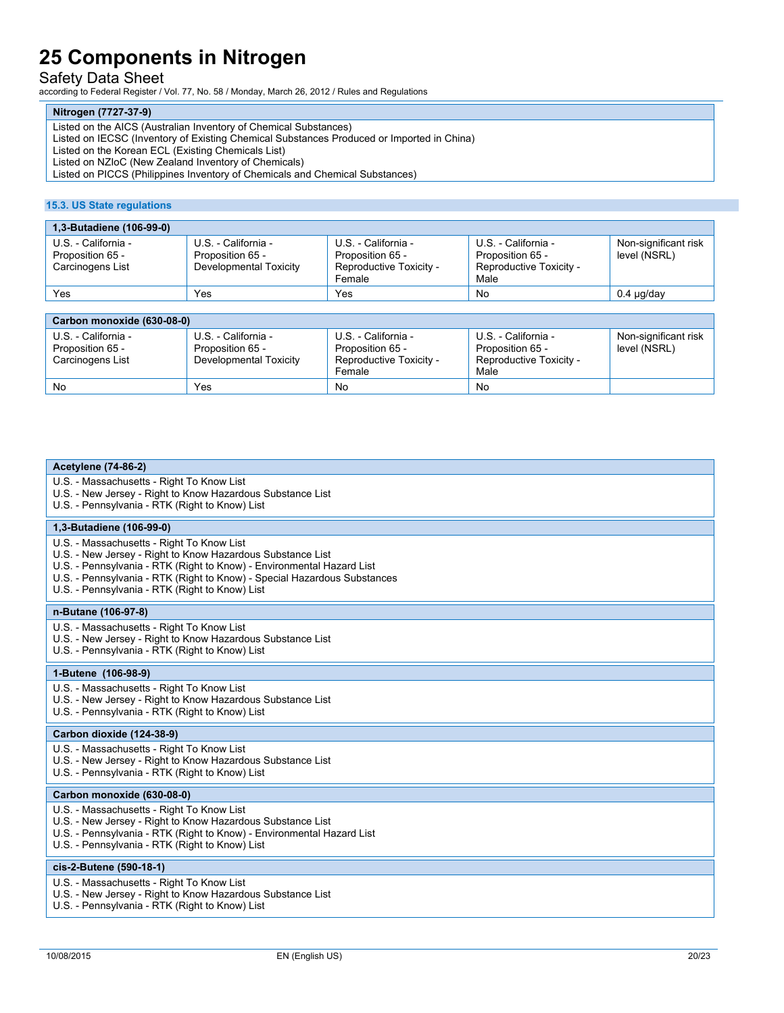### Safety Data Sheet

according to Federal Register / Vol. 77, No. 58 / Monday, March 26, 2012 / Rules and Regulations

#### **Nitrogen (7727-37-9)**

Listed on the AICS (Australian Inventory of Chemical Substances)

Listed on IECSC (Inventory of Existing Chemical Substances Produced or Imported in China)

Listed on the Korean ECL (Existing Chemicals List)

Listed on NZIoC (New Zealand Inventory of Chemicals)

Listed on PICCS (Philippines Inventory of Chemicals and Chemical Substances)

#### **15.3. US State regulations**

| 1,3-Butadiene (106-99-0)                                    |                                                                   |                                                                              |                                                                            |                                      |
|-------------------------------------------------------------|-------------------------------------------------------------------|------------------------------------------------------------------------------|----------------------------------------------------------------------------|--------------------------------------|
| U.S. - California -<br>Proposition 65 -<br>Carcinogens List | U.S. - California -<br>Proposition 65 -<br>Developmental Toxicity | U.S. - California -<br>Proposition 65 -<br>Reproductive Toxicity -<br>Female | U.S. - California -<br>Proposition 65 -<br>Reproductive Toxicity -<br>Male | Non-significant risk<br>level (NSRL) |
| Yes                                                         | Yes                                                               | Yes                                                                          | <b>No</b>                                                                  | $0.4 \mu q$ day                      |
|                                                             |                                                                   |                                                                              |                                                                            |                                      |
| Carbon monoxide (630-08-0)                                  |                                                                   |                                                                              |                                                                            |                                      |

| U.S. - California -<br>Proposition 65 -<br>Carcinogens List | U.S. - California -<br>Proposition 65 -<br>Developmental Toxicity | U.S. - California -<br>Proposition 65 -<br>Reproductive Toxicity -<br>Female | U.S. - California -<br>Proposition 65 -<br>Reproductive Toxicity -<br>Male | Non-significant risk<br>level (NSRL) |
|-------------------------------------------------------------|-------------------------------------------------------------------|------------------------------------------------------------------------------|----------------------------------------------------------------------------|--------------------------------------|
| No                                                          | Yes                                                               | No                                                                           | No                                                                         |                                      |

| <b>Acetylene (74-86-2)</b>                                                                                                                                                                                                                                                                                     |  |  |
|----------------------------------------------------------------------------------------------------------------------------------------------------------------------------------------------------------------------------------------------------------------------------------------------------------------|--|--|
| U.S. - Massachusetts - Right To Know List<br>U.S. - New Jersey - Right to Know Hazardous Substance List<br>U.S. - Pennsylvania - RTK (Right to Know) List                                                                                                                                                      |  |  |
| 1,3-Butadiene (106-99-0)                                                                                                                                                                                                                                                                                       |  |  |
| U.S. - Massachusetts - Right To Know List<br>U.S. - New Jersey - Right to Know Hazardous Substance List<br>U.S. - Pennsylvania - RTK (Right to Know) - Environmental Hazard List<br>U.S. - Pennsylvania - RTK (Right to Know) - Special Hazardous Substances<br>U.S. - Pennsylvania - RTK (Right to Know) List |  |  |
| n-Butane (106-97-8)                                                                                                                                                                                                                                                                                            |  |  |
| U.S. - Massachusetts - Right To Know List<br>U.S. - New Jersey - Right to Know Hazardous Substance List<br>U.S. - Pennsylvania - RTK (Right to Know) List                                                                                                                                                      |  |  |
| 1-Butene (106-98-9)                                                                                                                                                                                                                                                                                            |  |  |
| U.S. - Massachusetts - Right To Know List<br>U.S. - New Jersey - Right to Know Hazardous Substance List<br>U.S. - Pennsylvania - RTK (Right to Know) List                                                                                                                                                      |  |  |
| Carbon dioxide (124-38-9)                                                                                                                                                                                                                                                                                      |  |  |
| U.S. - Massachusetts - Right To Know List<br>U.S. - New Jersey - Right to Know Hazardous Substance List<br>U.S. - Pennsylvania - RTK (Right to Know) List                                                                                                                                                      |  |  |
| Carbon monoxide (630-08-0)                                                                                                                                                                                                                                                                                     |  |  |
| U.S. - Massachusetts - Right To Know List<br>U.S. - New Jersey - Right to Know Hazardous Substance List<br>U.S. - Pennsylvania - RTK (Right to Know) - Environmental Hazard List<br>U.S. - Pennsylvania - RTK (Right to Know) List                                                                             |  |  |
| cis-2-Butene (590-18-1)                                                                                                                                                                                                                                                                                        |  |  |
| U.S. - Massachusetts - Right To Know List<br>U.S. - New Jersey - Right to Know Hazardous Substance List<br>U.S. - Pennsylvania - RTK (Right to Know) List                                                                                                                                                      |  |  |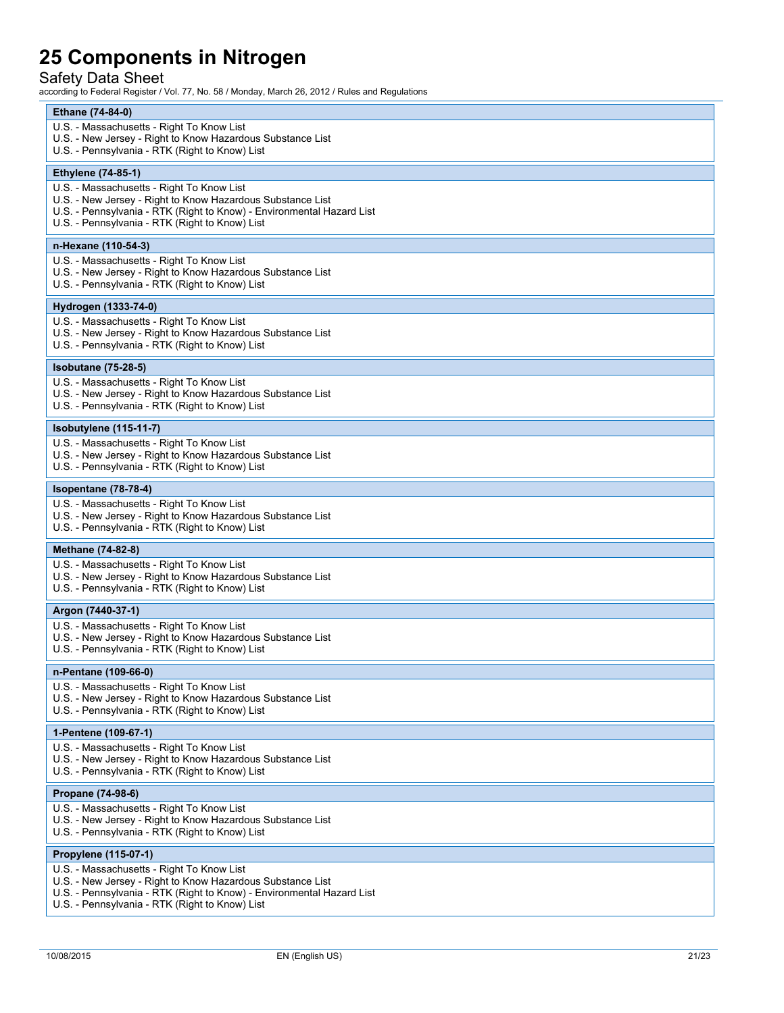### Safety Data Sheet

| Ethane (74-84-0)<br>U.S. - Massachusetts - Right To Know List<br>U.S. - New Jersey - Right to Know Hazardous Substance List<br>U.S. - Pennsylvania - RTK (Right to Know) List<br><b>Ethylene (74-85-1)</b><br>U.S. - Massachusetts - Right To Know List<br>U.S. - New Jersey - Right to Know Hazardous Substance List<br>U.S. - Pennsylvania - RTK (Right to Know) - Environmental Hazard List<br>U.S. - Pennsylvania - RTK (Right to Know) List<br>n-Hexane (110-54-3)<br>U.S. - Massachusetts - Right To Know List<br>U.S. - New Jersey - Right to Know Hazardous Substance List<br>U.S. - Pennsylvania - RTK (Right to Know) List<br>Hydrogen (1333-74-0)<br>U.S. - Massachusetts - Right To Know List<br>U.S. - New Jersey - Right to Know Hazardous Substance List<br>U.S. - Pennsylvania - RTK (Right to Know) List<br><b>Isobutane (75-28-5)</b><br>U.S. - Massachusetts - Right To Know List<br>U.S. - New Jersey - Right to Know Hazardous Substance List<br>U.S. - Pennsylvania - RTK (Right to Know) List<br>Isobutylene (115-11-7)<br>U.S. - Massachusetts - Right To Know List<br>U.S. - New Jersey - Right to Know Hazardous Substance List<br>U.S. - Pennsylvania - RTK (Right to Know) List<br>Isopentane (78-78-4)<br>U.S. - Massachusetts - Right To Know List<br>U.S. - New Jersey - Right to Know Hazardous Substance List<br>U.S. - Pennsylvania - RTK (Right to Know) List<br>Methane (74-82-8)<br>U.S. - Massachusetts - Right To Know List<br>U.S. - New Jersey - Right to Know Hazardous Substance List<br>U.S. - Pennsylvania - RTK (Right to Know) List<br>Argon (7440-37-1)<br>U.S. - Massachusetts - Right To Know List<br>U.S. - New Jersey - Right to Know Hazardous Substance List<br>U.S. - Pennsylvania - RTK (Right to Know) List<br>n-Pentane (109-66-0)<br>U.S. - Massachusetts - Right To Know List<br>U.S. - New Jersey - Right to Know Hazardous Substance List<br>U.S. - Pennsylvania - RTK (Right to Know) List<br>1-Pentene (109-67-1)<br>U.S. - Massachusetts - Right To Know List<br>U.S. - New Jersey - Right to Know Hazardous Substance List<br>U.S. - Pennsylvania - RTK (Right to Know) List<br>Propane (74-98-6)<br>U.S. - Massachusetts - Right To Know List<br>U.S. - New Jersey - Right to Know Hazardous Substance List<br>U.S. - Pennsylvania - RTK (Right to Know) List<br>Propylene (115-07-1)<br>U.S. - Massachusetts - Right To Know List<br>U.S. - New Jersey - Right to Know Hazardous Substance List<br>U.S. - Pennsylvania - RTK (Right to Know) - Environmental Hazard List<br>U.S. - Pennsylvania - RTK (Right to Know) List |  |  |  |  |  |
|------------------------------------------------------------------------------------------------------------------------------------------------------------------------------------------------------------------------------------------------------------------------------------------------------------------------------------------------------------------------------------------------------------------------------------------------------------------------------------------------------------------------------------------------------------------------------------------------------------------------------------------------------------------------------------------------------------------------------------------------------------------------------------------------------------------------------------------------------------------------------------------------------------------------------------------------------------------------------------------------------------------------------------------------------------------------------------------------------------------------------------------------------------------------------------------------------------------------------------------------------------------------------------------------------------------------------------------------------------------------------------------------------------------------------------------------------------------------------------------------------------------------------------------------------------------------------------------------------------------------------------------------------------------------------------------------------------------------------------------------------------------------------------------------------------------------------------------------------------------------------------------------------------------------------------------------------------------------------------------------------------------------------------------------------------------------------------------------------------------------------------------------------------------------------------------------------------------------------------------------------------------------------------------------------------------------------------------------------------------------------------------------------------------------------------------------------------------------------------------------------------------------------------------------------------------------------------------------|--|--|--|--|--|
|                                                                                                                                                                                                                                                                                                                                                                                                                                                                                                                                                                                                                                                                                                                                                                                                                                                                                                                                                                                                                                                                                                                                                                                                                                                                                                                                                                                                                                                                                                                                                                                                                                                                                                                                                                                                                                                                                                                                                                                                                                                                                                                                                                                                                                                                                                                                                                                                                                                                                                                                                                                                |  |  |  |  |  |
|                                                                                                                                                                                                                                                                                                                                                                                                                                                                                                                                                                                                                                                                                                                                                                                                                                                                                                                                                                                                                                                                                                                                                                                                                                                                                                                                                                                                                                                                                                                                                                                                                                                                                                                                                                                                                                                                                                                                                                                                                                                                                                                                                                                                                                                                                                                                                                                                                                                                                                                                                                                                |  |  |  |  |  |
|                                                                                                                                                                                                                                                                                                                                                                                                                                                                                                                                                                                                                                                                                                                                                                                                                                                                                                                                                                                                                                                                                                                                                                                                                                                                                                                                                                                                                                                                                                                                                                                                                                                                                                                                                                                                                                                                                                                                                                                                                                                                                                                                                                                                                                                                                                                                                                                                                                                                                                                                                                                                |  |  |  |  |  |
|                                                                                                                                                                                                                                                                                                                                                                                                                                                                                                                                                                                                                                                                                                                                                                                                                                                                                                                                                                                                                                                                                                                                                                                                                                                                                                                                                                                                                                                                                                                                                                                                                                                                                                                                                                                                                                                                                                                                                                                                                                                                                                                                                                                                                                                                                                                                                                                                                                                                                                                                                                                                |  |  |  |  |  |
|                                                                                                                                                                                                                                                                                                                                                                                                                                                                                                                                                                                                                                                                                                                                                                                                                                                                                                                                                                                                                                                                                                                                                                                                                                                                                                                                                                                                                                                                                                                                                                                                                                                                                                                                                                                                                                                                                                                                                                                                                                                                                                                                                                                                                                                                                                                                                                                                                                                                                                                                                                                                |  |  |  |  |  |
|                                                                                                                                                                                                                                                                                                                                                                                                                                                                                                                                                                                                                                                                                                                                                                                                                                                                                                                                                                                                                                                                                                                                                                                                                                                                                                                                                                                                                                                                                                                                                                                                                                                                                                                                                                                                                                                                                                                                                                                                                                                                                                                                                                                                                                                                                                                                                                                                                                                                                                                                                                                                |  |  |  |  |  |
|                                                                                                                                                                                                                                                                                                                                                                                                                                                                                                                                                                                                                                                                                                                                                                                                                                                                                                                                                                                                                                                                                                                                                                                                                                                                                                                                                                                                                                                                                                                                                                                                                                                                                                                                                                                                                                                                                                                                                                                                                                                                                                                                                                                                                                                                                                                                                                                                                                                                                                                                                                                                |  |  |  |  |  |
|                                                                                                                                                                                                                                                                                                                                                                                                                                                                                                                                                                                                                                                                                                                                                                                                                                                                                                                                                                                                                                                                                                                                                                                                                                                                                                                                                                                                                                                                                                                                                                                                                                                                                                                                                                                                                                                                                                                                                                                                                                                                                                                                                                                                                                                                                                                                                                                                                                                                                                                                                                                                |  |  |  |  |  |
|                                                                                                                                                                                                                                                                                                                                                                                                                                                                                                                                                                                                                                                                                                                                                                                                                                                                                                                                                                                                                                                                                                                                                                                                                                                                                                                                                                                                                                                                                                                                                                                                                                                                                                                                                                                                                                                                                                                                                                                                                                                                                                                                                                                                                                                                                                                                                                                                                                                                                                                                                                                                |  |  |  |  |  |
|                                                                                                                                                                                                                                                                                                                                                                                                                                                                                                                                                                                                                                                                                                                                                                                                                                                                                                                                                                                                                                                                                                                                                                                                                                                                                                                                                                                                                                                                                                                                                                                                                                                                                                                                                                                                                                                                                                                                                                                                                                                                                                                                                                                                                                                                                                                                                                                                                                                                                                                                                                                                |  |  |  |  |  |
|                                                                                                                                                                                                                                                                                                                                                                                                                                                                                                                                                                                                                                                                                                                                                                                                                                                                                                                                                                                                                                                                                                                                                                                                                                                                                                                                                                                                                                                                                                                                                                                                                                                                                                                                                                                                                                                                                                                                                                                                                                                                                                                                                                                                                                                                                                                                                                                                                                                                                                                                                                                                |  |  |  |  |  |
|                                                                                                                                                                                                                                                                                                                                                                                                                                                                                                                                                                                                                                                                                                                                                                                                                                                                                                                                                                                                                                                                                                                                                                                                                                                                                                                                                                                                                                                                                                                                                                                                                                                                                                                                                                                                                                                                                                                                                                                                                                                                                                                                                                                                                                                                                                                                                                                                                                                                                                                                                                                                |  |  |  |  |  |
|                                                                                                                                                                                                                                                                                                                                                                                                                                                                                                                                                                                                                                                                                                                                                                                                                                                                                                                                                                                                                                                                                                                                                                                                                                                                                                                                                                                                                                                                                                                                                                                                                                                                                                                                                                                                                                                                                                                                                                                                                                                                                                                                                                                                                                                                                                                                                                                                                                                                                                                                                                                                |  |  |  |  |  |
|                                                                                                                                                                                                                                                                                                                                                                                                                                                                                                                                                                                                                                                                                                                                                                                                                                                                                                                                                                                                                                                                                                                                                                                                                                                                                                                                                                                                                                                                                                                                                                                                                                                                                                                                                                                                                                                                                                                                                                                                                                                                                                                                                                                                                                                                                                                                                                                                                                                                                                                                                                                                |  |  |  |  |  |
|                                                                                                                                                                                                                                                                                                                                                                                                                                                                                                                                                                                                                                                                                                                                                                                                                                                                                                                                                                                                                                                                                                                                                                                                                                                                                                                                                                                                                                                                                                                                                                                                                                                                                                                                                                                                                                                                                                                                                                                                                                                                                                                                                                                                                                                                                                                                                                                                                                                                                                                                                                                                |  |  |  |  |  |
|                                                                                                                                                                                                                                                                                                                                                                                                                                                                                                                                                                                                                                                                                                                                                                                                                                                                                                                                                                                                                                                                                                                                                                                                                                                                                                                                                                                                                                                                                                                                                                                                                                                                                                                                                                                                                                                                                                                                                                                                                                                                                                                                                                                                                                                                                                                                                                                                                                                                                                                                                                                                |  |  |  |  |  |
|                                                                                                                                                                                                                                                                                                                                                                                                                                                                                                                                                                                                                                                                                                                                                                                                                                                                                                                                                                                                                                                                                                                                                                                                                                                                                                                                                                                                                                                                                                                                                                                                                                                                                                                                                                                                                                                                                                                                                                                                                                                                                                                                                                                                                                                                                                                                                                                                                                                                                                                                                                                                |  |  |  |  |  |
|                                                                                                                                                                                                                                                                                                                                                                                                                                                                                                                                                                                                                                                                                                                                                                                                                                                                                                                                                                                                                                                                                                                                                                                                                                                                                                                                                                                                                                                                                                                                                                                                                                                                                                                                                                                                                                                                                                                                                                                                                                                                                                                                                                                                                                                                                                                                                                                                                                                                                                                                                                                                |  |  |  |  |  |
|                                                                                                                                                                                                                                                                                                                                                                                                                                                                                                                                                                                                                                                                                                                                                                                                                                                                                                                                                                                                                                                                                                                                                                                                                                                                                                                                                                                                                                                                                                                                                                                                                                                                                                                                                                                                                                                                                                                                                                                                                                                                                                                                                                                                                                                                                                                                                                                                                                                                                                                                                                                                |  |  |  |  |  |
|                                                                                                                                                                                                                                                                                                                                                                                                                                                                                                                                                                                                                                                                                                                                                                                                                                                                                                                                                                                                                                                                                                                                                                                                                                                                                                                                                                                                                                                                                                                                                                                                                                                                                                                                                                                                                                                                                                                                                                                                                                                                                                                                                                                                                                                                                                                                                                                                                                                                                                                                                                                                |  |  |  |  |  |
|                                                                                                                                                                                                                                                                                                                                                                                                                                                                                                                                                                                                                                                                                                                                                                                                                                                                                                                                                                                                                                                                                                                                                                                                                                                                                                                                                                                                                                                                                                                                                                                                                                                                                                                                                                                                                                                                                                                                                                                                                                                                                                                                                                                                                                                                                                                                                                                                                                                                                                                                                                                                |  |  |  |  |  |
|                                                                                                                                                                                                                                                                                                                                                                                                                                                                                                                                                                                                                                                                                                                                                                                                                                                                                                                                                                                                                                                                                                                                                                                                                                                                                                                                                                                                                                                                                                                                                                                                                                                                                                                                                                                                                                                                                                                                                                                                                                                                                                                                                                                                                                                                                                                                                                                                                                                                                                                                                                                                |  |  |  |  |  |
|                                                                                                                                                                                                                                                                                                                                                                                                                                                                                                                                                                                                                                                                                                                                                                                                                                                                                                                                                                                                                                                                                                                                                                                                                                                                                                                                                                                                                                                                                                                                                                                                                                                                                                                                                                                                                                                                                                                                                                                                                                                                                                                                                                                                                                                                                                                                                                                                                                                                                                                                                                                                |  |  |  |  |  |
|                                                                                                                                                                                                                                                                                                                                                                                                                                                                                                                                                                                                                                                                                                                                                                                                                                                                                                                                                                                                                                                                                                                                                                                                                                                                                                                                                                                                                                                                                                                                                                                                                                                                                                                                                                                                                                                                                                                                                                                                                                                                                                                                                                                                                                                                                                                                                                                                                                                                                                                                                                                                |  |  |  |  |  |
|                                                                                                                                                                                                                                                                                                                                                                                                                                                                                                                                                                                                                                                                                                                                                                                                                                                                                                                                                                                                                                                                                                                                                                                                                                                                                                                                                                                                                                                                                                                                                                                                                                                                                                                                                                                                                                                                                                                                                                                                                                                                                                                                                                                                                                                                                                                                                                                                                                                                                                                                                                                                |  |  |  |  |  |
|                                                                                                                                                                                                                                                                                                                                                                                                                                                                                                                                                                                                                                                                                                                                                                                                                                                                                                                                                                                                                                                                                                                                                                                                                                                                                                                                                                                                                                                                                                                                                                                                                                                                                                                                                                                                                                                                                                                                                                                                                                                                                                                                                                                                                                                                                                                                                                                                                                                                                                                                                                                                |  |  |  |  |  |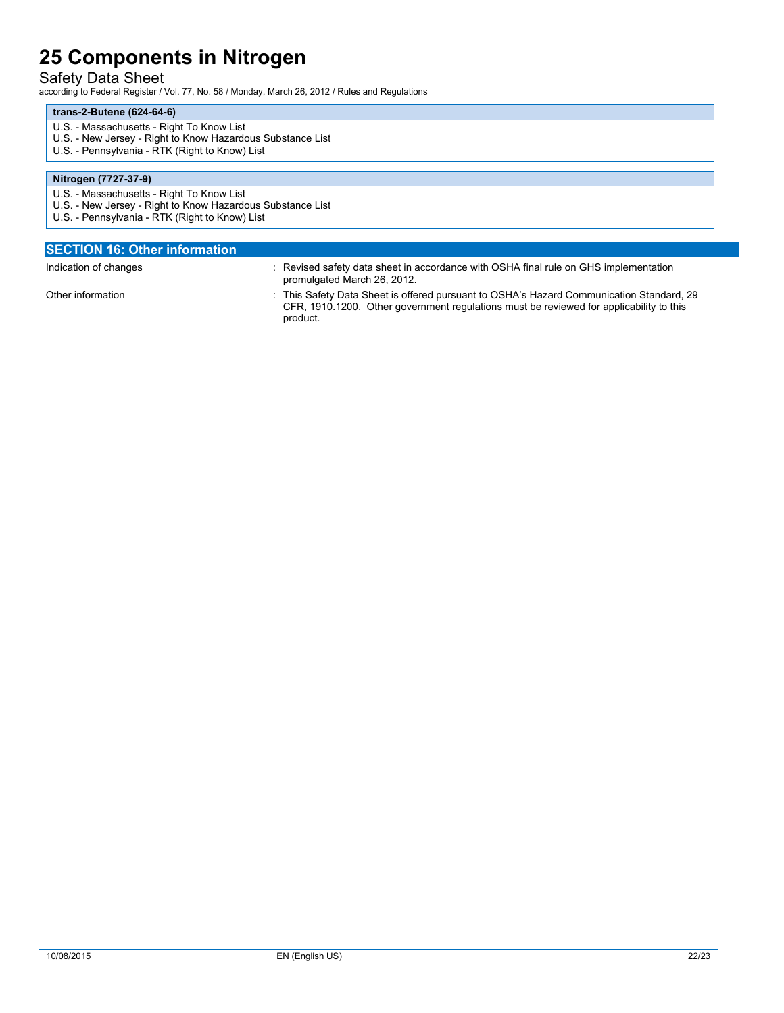### Safety Data Sheet

according to Federal Register / Vol. 77, No. 58 / Monday, March 26, 2012 / Rules and Regulations

#### **trans-2-Butene (624-64-6)**

- U.S. Massachusetts Right To Know List
- U.S. New Jersey Right to Know Hazardous Substance List
- U.S. Pennsylvania RTK (Right to Know) List

#### **Nitrogen (7727-37-9)**

- U.S. Massachusetts Right To Know List
- U.S. New Jersey Right to Know Hazardous Substance List
- U.S. Pennsylvania RTK (Right to Know) List

| : Revised safety data sheet in accordance with OSHA final rule on GHS implementation                                                                                                |
|-------------------------------------------------------------------------------------------------------------------------------------------------------------------------------------|
| : This Safety Data Sheet is offered pursuant to OSHA's Hazard Communication Standard, 29<br>CFR, 1910.1200. Other government regulations must be reviewed for applicability to this |
|                                                                                                                                                                                     |